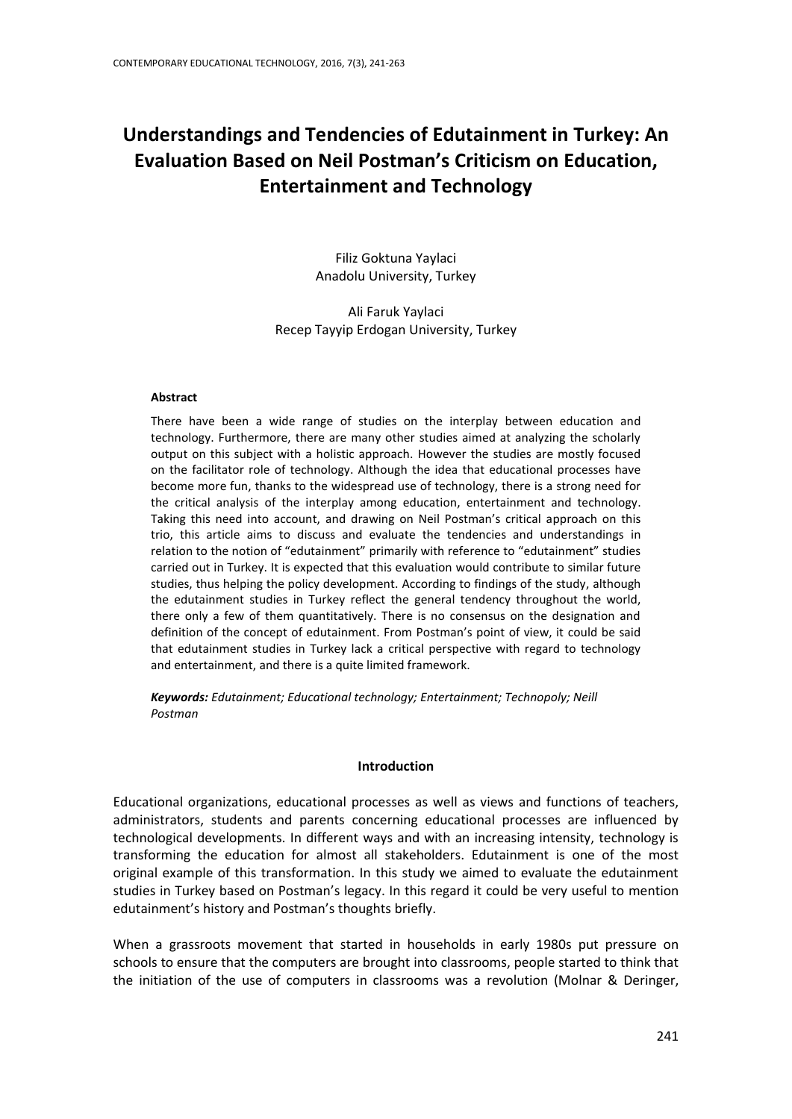# **Understandings and Tendencies of Edutainment in Turkey: An Evaluation Based on Neil Postman's Criticism on Education, Entertainment and Technology**

Filiz Goktuna Yaylaci Anadolu University, Turkey

Ali Faruk Yaylaci Recep Tayyip Erdogan University, Turkey

#### **Abstract**

There have been a wide range of studies on the interplay between education and technology. Furthermore, there are many other studies aimed at analyzing the scholarly output on this subject with a holistic approach. However the studies are mostly focused on the facilitator role of technology. Although the idea that educational processes have become more fun, thanks to the widespread use of technology, there is a strong need for the critical analysis of the interplay among education, entertainment and technology. Taking this need into account, and drawing on Neil Postman's critical approach on this trio, this article aims to discuss and evaluate the tendencies and understandings in relation to the notion of "edutainment" primarily with reference to "edutainment" studies carried out in Turkey. It is expected that this evaluation would contribute to similar future studies, thus helping the policy development. According to findings of the study, although the edutainment studies in Turkey reflect the general tendency throughout the world, there only a few of them quantitatively. There is no consensus on the designation and definition of the concept of edutainment. From Postman's point of view, it could be said that edutainment studies in Turkey lack a critical perspective with regard to technology and entertainment, and there is a quite limited framework.

*Keywords: Edutainment; Educational technology; Entertainment; Technopoly; Neill Postman*

## **Introduction**

Educational organizations, educational processes as well as views and functions of teachers, administrators, students and parents concerning educational processes are influenced by technological developments. In different ways and with an increasing intensity, technology is transforming the education for almost all stakeholders. Edutainment is one of the most original example of this transformation. In this study we aimed to evaluate the edutainment studies in Turkey based on Postman's legacy. In this regard it could be very useful to mention edutainment's history and Postman's thoughts briefly.

When a grassroots movement that started in households in early 1980s put pressure on schools to ensure that the computers are brought into classrooms, people started to think that the initiation of the use of computers in classrooms was a revolution (Molnar & Deringer,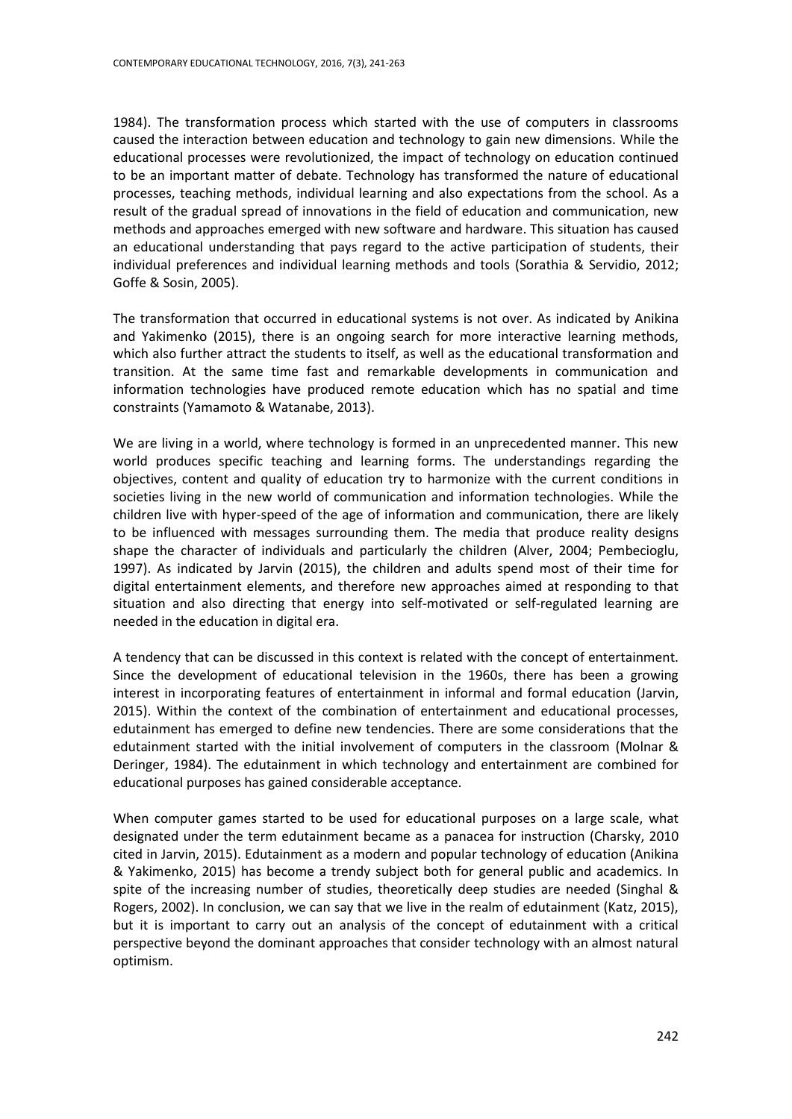1984). The transformation process which started with the use of computers in classrooms caused the interaction between education and technology to gain new dimensions. While the educational processes were revolutionized, the impact of technology on education continued to be an important matter of debate. Technology has transformed the nature of educational processes, teaching methods, individual learning and also expectations from the school. As a result of the gradual spread of innovations in the field of education and communication, new methods and approaches emerged with new software and hardware. This situation has caused an educational understanding that pays regard to the active participation of students, their individual preferences and individual learning methods and tools (Sorathia & Servidio, 2012; Goffe & Sosin, 2005).

The transformation that occurred in educational systems is not over. As indicated by Anikina and Yakimenko (2015), there is an ongoing search for more interactive learning methods, which also further attract the students to itself, as well as the educational transformation and transition. At the same time fast and remarkable developments in communication and information technologies have produced remote education which has no spatial and time constraints (Yamamoto & Watanabe, 2013).

We are living in a world, where technology is formed in an unprecedented manner. This new world produces specific teaching and learning forms. The understandings regarding the objectives, content and quality of education try to harmonize with the current conditions in societies living in the new world of communication and information technologies. While the children live with hyper-speed of the age of information and communication, there are likely to be influenced with messages surrounding them. The media that produce reality designs shape the character of individuals and particularly the children (Alver, 2004; Pembecioglu, 1997). As indicated by Jarvin (2015), the children and adults spend most of their time for digital entertainment elements, and therefore new approaches aimed at responding to that situation and also directing that energy into self-motivated or self-regulated learning are needed in the education in digital era.

A tendency that can be discussed in this context is related with the concept of entertainment. Since the development of educational television in the 1960s, there has been a growing interest in incorporating features of entertainment in informal and formal education (Jarvin, 2015). Within the context of the combination of entertainment and educational processes, edutainment has emerged to define new tendencies. There are some considerations that the edutainment started with the initial involvement of computers in the classroom (Molnar & Deringer, 1984). The edutainment in which technology and entertainment are combined for educational purposes has gained considerable acceptance.

When computer games started to be used for educational purposes on a large scale, what designated under the term edutainment became as a panacea for instruction (Charsky, 2010 cited in Jarvin, 2015). Edutainment as a modern and popular technology of education (Anikina & Yakimenko, 2015) has become a trendy subject both for general public and academics. In spite of the increasing number of studies, theoretically deep studies are needed (Singhal & Rogers, 2002). In conclusion, we can say that we live in the realm of edutainment (Katz, 2015), but it is important to carry out an analysis of the concept of edutainment with a critical perspective beyond the dominant approaches that consider technology with an almost natural optimism.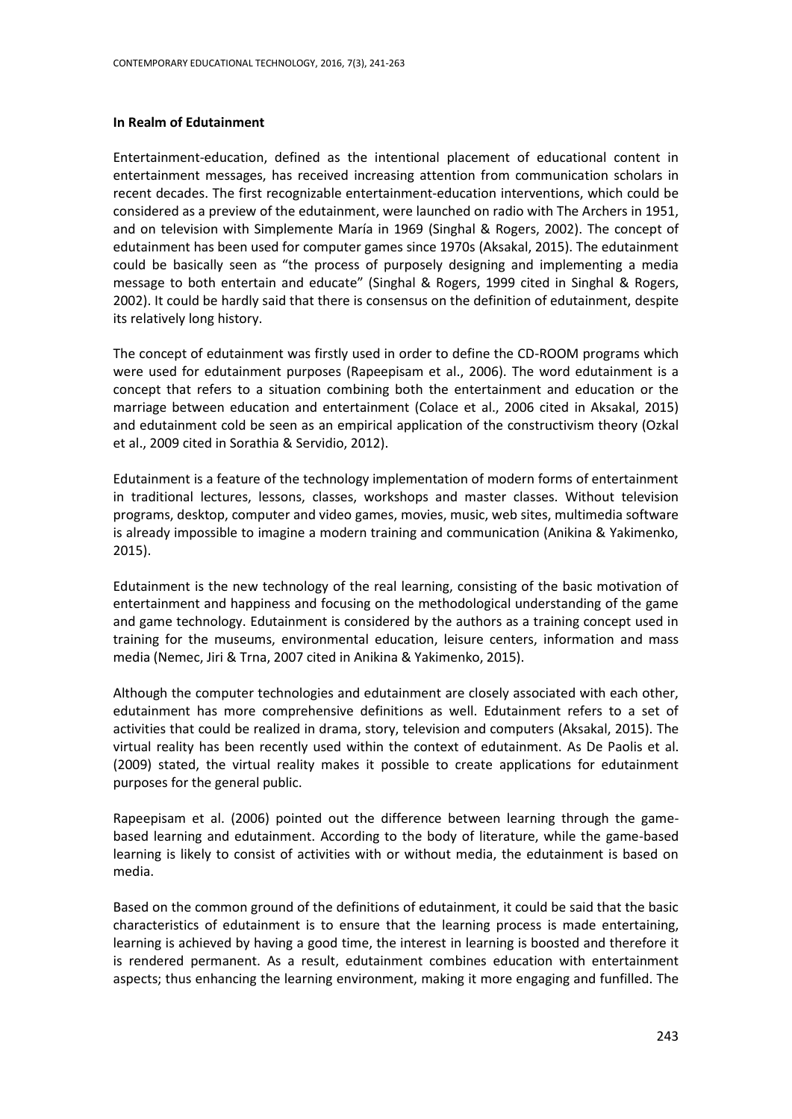## **In Realm of Edutainment**

Entertainment-education, defined as the intentional placement of educational content in entertainment messages, has received increasing attention from communication scholars in recent decades. The first recognizable entertainment-education interventions, which could be considered as a preview of the edutainment, were launched on radio with The Archers in 1951, and on television with Simplemente María in 1969 (Singhal & Rogers, 2002). The concept of edutainment has been used for computer games since 1970s (Aksakal, 2015). The edutainment could be basically seen as "the process of purposely designing and implementing a media message to both entertain and educate" (Singhal & Rogers, 1999 cited in Singhal & Rogers, 2002). It could be hardly said that there is consensus on the definition of edutainment, despite its relatively long history.

The concept of edutainment was firstly used in order to define the CD-ROOM programs which were used for edutainment purposes (Rapeepisam et al., 2006). The word edutainment is a concept that refers to a situation combining both the entertainment and education or the marriage between education and entertainment (Colace et al., 2006 cited in Aksakal, 2015) and edutainment cold be seen as an empirical application of the constructivism theory (Ozkal et al., 2009 cited in Sorathia & Servidio, 2012).

Edutainment is a feature of the technology implementation of modern forms of entertainment in traditional lectures, lessons, classes, workshops and master classes. Without television programs, desktop, computer and video games, movies, music, web sites, multimedia software is already impossible to imagine a modern training and communication (Anikina & Yakimenko, 2015).

Edutainment is the new technology of the real learning, consisting of the basic motivation of entertainment and happiness and focusing on the methodological understanding of the game and game technology. Edutainment is considered by the authors as a training concept used in training for the museums, environmental education, leisure centers, information and mass media (Nemec, Jiri & Trna, 2007 cited in Anikina & Yakimenko, 2015).

Although the computer technologies and edutainment are closely associated with each other, edutainment has more comprehensive definitions as well. Edutainment refers to a set of activities that could be realized in drama, story, television and computers (Aksakal, 2015). The virtual reality has been recently used within the context of edutainment. As De Paolis et al. (2009) stated, the virtual reality makes it possible to create applications for edutainment purposes for the general public.

Rapeepisam et al. (2006) pointed out the difference between learning through the gamebased learning and edutainment. According to the body of literature, while the game-based learning is likely to consist of activities with or without media, the edutainment is based on media.

Based on the common ground of the definitions of edutainment, it could be said that the basic characteristics of edutainment is to ensure that the learning process is made entertaining, learning is achieved by having a good time, the interest in learning is boosted and therefore it is rendered permanent. As a result, edutainment combines education with entertainment aspects; thus enhancing the learning environment, making it more engaging and funfilled. The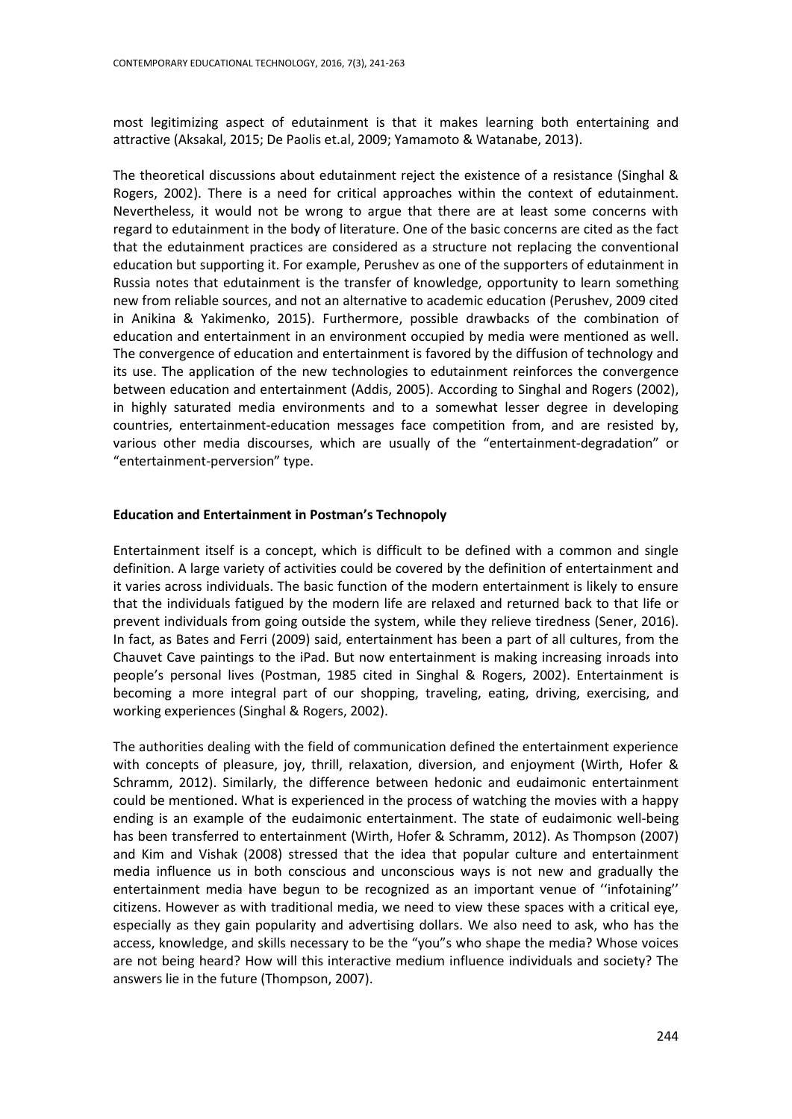most legitimizing aspect of edutainment is that it makes learning both entertaining and attractive (Aksakal, 2015; De Paolis et.al, 2009; Yamamoto & Watanabe, 2013).

The theoretical discussions about edutainment reject the existence of a resistance (Singhal & Rogers, 2002). There is a need for critical approaches within the context of edutainment. Nevertheless, it would not be wrong to argue that there are at least some concerns with regard to edutainment in the body of literature. One of the basic concerns are cited as the fact that the edutainment practices are considered as a structure not replacing the conventional education but supporting it. For example, Perushev as one of the supporters of edutainment in Russia notes that edutainment is the transfer of knowledge, opportunity to learn something new from reliable sources, and not an alternative to academic education (Perushev, 2009 cited in Anikina & Yakimenko, 2015). Furthermore, possible drawbacks of the combination of education and entertainment in an environment occupied by media were mentioned as well. The convergence of education and entertainment is favored by the diffusion of technology and its use. The application of the new technologies to edutainment reinforces the convergence between education and entertainment (Addis, 2005). According to Singhal and Rogers (2002), in highly saturated media environments and to a somewhat lesser degree in developing countries, entertainment-education messages face competition from, and are resisted by, various other media discourses, which are usually of the "entertainment-degradation" or "entertainment-perversion" type.

#### **Education and Entertainment in Postman's Technopoly**

Entertainment itself is a concept, which is difficult to be defined with a common and single definition. A large variety of activities could be covered by the definition of entertainment and it varies across individuals. The basic function of the modern entertainment is likely to ensure that the individuals fatigued by the modern life are relaxed and returned back to that life or prevent individuals from going outside the system, while they relieve tiredness (Sener, 2016). In fact, as Bates and Ferri (2009) said, entertainment has been a part of all cultures, from the Chauvet Cave paintings to the iPad. But now entertainment is making increasing inroads into people's personal lives (Postman, 1985 cited in Singhal & Rogers, 2002). Entertainment is becoming a more integral part of our shopping, traveling, eating, driving, exercising, and working experiences (Singhal & Rogers, 2002).

The authorities dealing with the field of communication defined the entertainment experience with concepts of pleasure, joy, thrill, relaxation, diversion, and enjoyment (Wirth, Hofer & Schramm, 2012). Similarly, the difference between hedonic and eudaimonic entertainment could be mentioned. What is experienced in the process of watching the movies with a happy ending is an example of the eudaimonic entertainment. The state of eudaimonic well-being has been transferred to entertainment (Wirth, Hofer & Schramm, 2012). As Thompson (2007) and Kim and Vishak (2008) stressed that the idea that popular culture and entertainment media influence us in both conscious and unconscious ways is not new and gradually the entertainment media have begun to be recognized as an important venue of ''infotaining'' citizens. However as with traditional media, we need to view these spaces with a critical eye, especially as they gain popularity and advertising dollars. We also need to ask, who has the access, knowledge, and skills necessary to be the "you"s who shape the media? Whose voices are not being heard? How will this interactive medium influence individuals and society? The answers lie in the future (Thompson, 2007).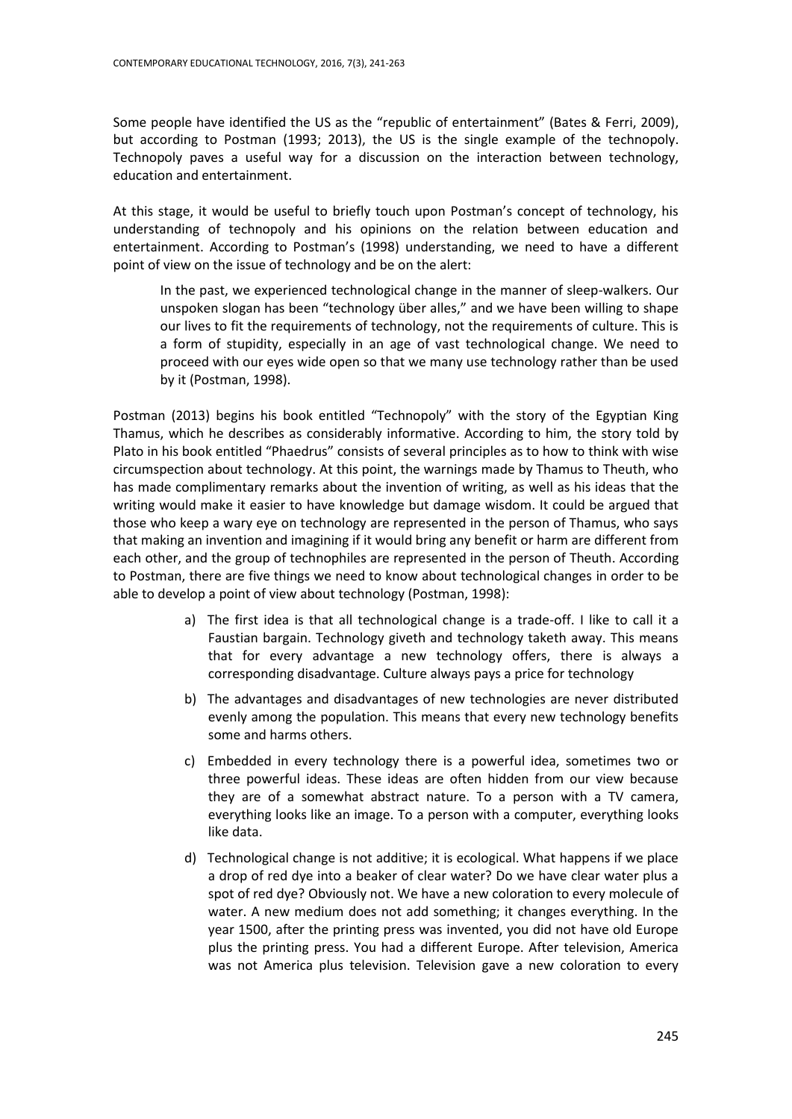Some people have identified the US as the "republic of entertainment" (Bates & Ferri, 2009), but according to Postman (1993; 2013), the US is the single example of the technopoly. Technopoly paves a useful way for a discussion on the interaction between technology, education and entertainment.

At this stage, it would be useful to briefly touch upon Postman's concept of technology, his understanding of technopoly and his opinions on the relation between education and entertainment. According to Postman's (1998) understanding, we need to have a different point of view on the issue of technology and be on the alert:

In the past, we experienced technological change in the manner of sleep-walkers. Our unspoken slogan has been "technology über alles," and we have been willing to shape our lives to fit the requirements of technology, not the requirements of culture. This is a form of stupidity, especially in an age of vast technological change. We need to proceed with our eyes wide open so that we many use technology rather than be used by it (Postman, 1998).

Postman (2013) begins his book entitled "Technopoly" with the story of the Egyptian King Thamus, which he describes as considerably informative. According to him, the story told by Plato in his book entitled "Phaedrus" consists of several principles as to how to think with wise circumspection about technology. At this point, the warnings made by Thamus to Theuth, who has made complimentary remarks about the invention of writing, as well as his ideas that the writing would make it easier to have knowledge but damage wisdom. It could be argued that those who keep a wary eye on technology are represented in the person of Thamus, who says that making an invention and imagining if it would bring any benefit or harm are different from each other, and the group of technophiles are represented in the person of Theuth. According to Postman, there are five things we need to know about technological changes in order to be able to develop a point of view about technology (Postman, 1998):

- a) The first idea is that all technological change is a trade-off. I like to call it a Faustian bargain. Technology giveth and technology taketh away. This means that for every advantage a new technology offers, there is always a corresponding disadvantage. Culture always pays a price for technology
- b) The advantages and disadvantages of new technologies are never distributed evenly among the population. This means that every new technology benefits some and harms others.
- c) Embedded in every technology there is a powerful idea, sometimes two or three powerful ideas. These ideas are often hidden from our view because they are of a somewhat abstract nature. To a person with a TV camera, everything looks like an image. To a person with a computer, everything looks like data.
- d) Technological change is not additive; it is ecological. What happens if we place a drop of red dye into a beaker of clear water? Do we have clear water plus a spot of red dye? Obviously not. We have a new coloration to every molecule of water. A new medium does not add something; it changes everything. In the year 1500, after the printing press was invented, you did not have old Europe plus the printing press. You had a different Europe. After television, America was not America plus television. Television gave a new coloration to every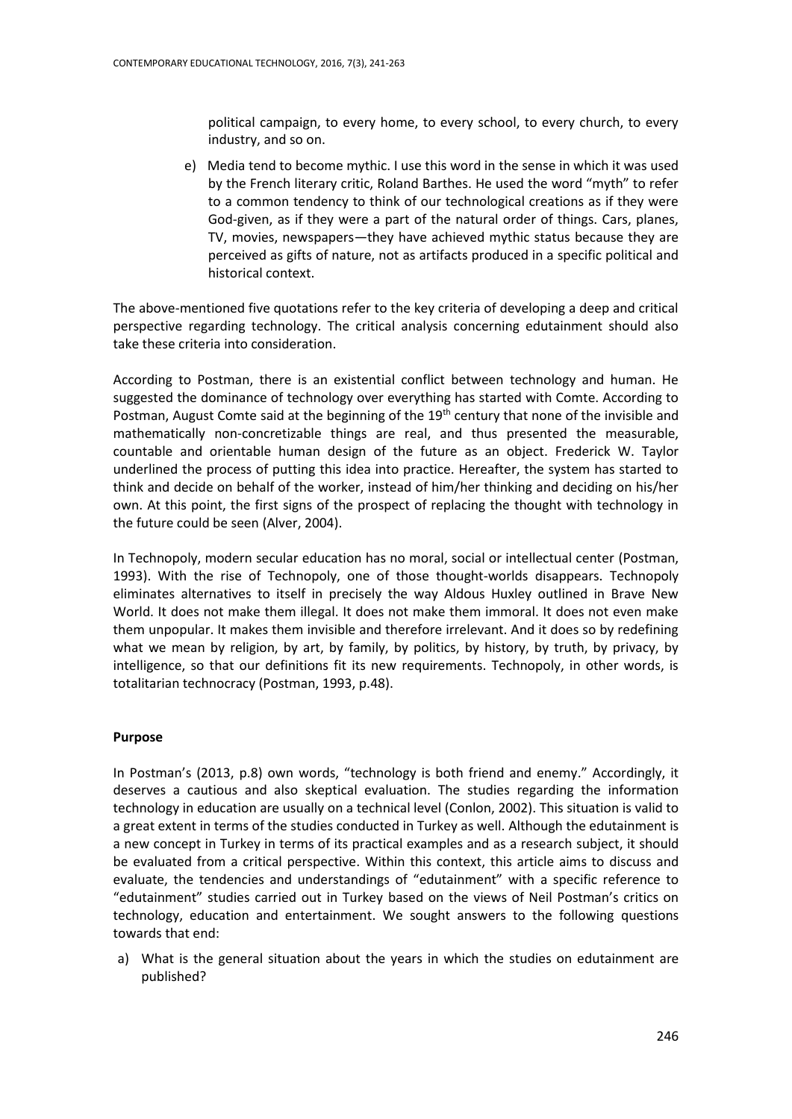political campaign, to every home, to every school, to every church, to every industry, and so on.

e) Media tend to become mythic. I use this word in the sense in which it was used by the French literary critic, Roland Barthes. He used the word "myth" to refer to a common tendency to think of our technological creations as if they were God-given, as if they were a part of the natural order of things. Cars, planes, TV, movies, newspapers—they have achieved mythic status because they are perceived as gifts of nature, not as artifacts produced in a specific political and historical context.

The above-mentioned five quotations refer to the key criteria of developing a deep and critical perspective regarding technology. The critical analysis concerning edutainment should also take these criteria into consideration.

According to Postman, there is an existential conflict between technology and human. He suggested the dominance of technology over everything has started with Comte. According to Postman, August Comte said at the beginning of the 19<sup>th</sup> century that none of the invisible and mathematically non-concretizable things are real, and thus presented the measurable, countable and orientable human design of the future as an object. Frederick W. Taylor underlined the process of putting this idea into practice. Hereafter, the system has started to think and decide on behalf of the worker, instead of him/her thinking and deciding on his/her own. At this point, the first signs of the prospect of replacing the thought with technology in the future could be seen (Alver, 2004).

In Technopoly, modern secular education has no moral, social or intellectual center (Postman, 1993). With the rise of Technopoly, one of those thought-worlds disappears. Technopoly eliminates alternatives to itself in precisely the way Aldous Huxley outlined in Brave New World. It does not make them illegal. It does not make them immoral. It does not even make them unpopular. It makes them invisible and therefore irrelevant. And it does so by redefining what we mean by religion, by art, by family, by politics, by history, by truth, by privacy, by intelligence, so that our definitions fit its new requirements. Technopoly, in other words, is totalitarian technocracy (Postman, 1993, p.48).

## **Purpose**

In Postman's (2013, p.8) own words, "technology is both friend and enemy." Accordingly, it deserves a cautious and also skeptical evaluation. The studies regarding the information technology in education are usually on a technical level (Conlon, 2002). This situation is valid to a great extent in terms of the studies conducted in Turkey as well. Although the edutainment is a new concept in Turkey in terms of its practical examples and as a research subject, it should be evaluated from a critical perspective. Within this context, this article aims to discuss and evaluate, the tendencies and understandings of "edutainment" with a specific reference to "edutainment" studies carried out in Turkey based on the views of Neil Postman's critics on technology, education and entertainment. We sought answers to the following questions towards that end:

a) What is the general situation about the years in which the studies on edutainment are published?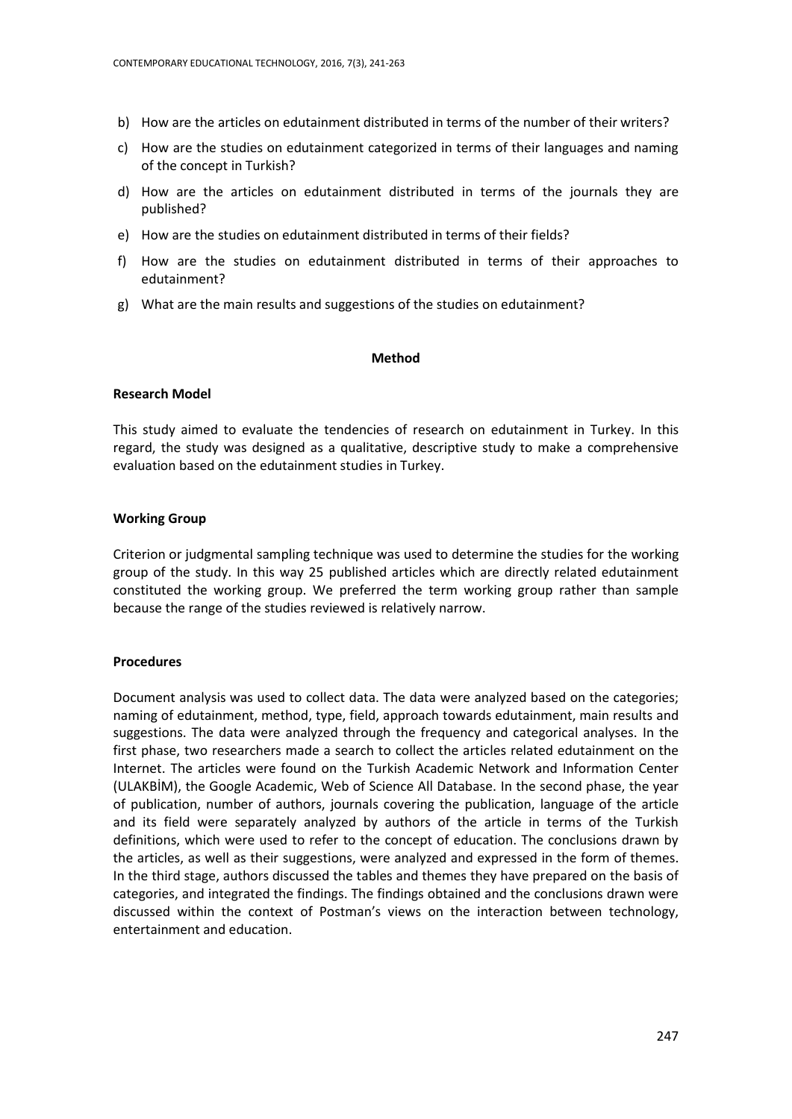- b) How are the articles on edutainment distributed in terms of the number of their writers?
- c) How are the studies on edutainment categorized in terms of their languages and naming of the concept in Turkish?
- d) How are the articles on edutainment distributed in terms of the journals they are published?
- e) How are the studies on edutainment distributed in terms of their fields?
- f) How are the studies on edutainment distributed in terms of their approaches to edutainment?
- g) What are the main results and suggestions of the studies on edutainment?

#### **Method**

## **Research Model**

This study aimed to evaluate the tendencies of research on edutainment in Turkey. In this regard, the study was designed as a qualitative, descriptive study to make a comprehensive evaluation based on the edutainment studies in Turkey.

## **Working Group**

Criterion or judgmental sampling technique was used to determine the studies for the working group of the study. In this way 25 published articles which are directly related edutainment constituted the working group. We preferred the term working group rather than sample because the range of the studies reviewed is relatively narrow.

## **Procedures**

Document analysis was used to collect data. The data were analyzed based on the categories; naming of edutainment, method, type, field, approach towards edutainment, main results and suggestions. The data were analyzed through the frequency and categorical analyses. In the first phase, two researchers made a search to collect the articles related edutainment on the Internet. The articles were found on the Turkish Academic Network and Information Center (ULAKBİM), the Google Academic, Web of Science All Database. In the second phase, the year of publication, number of authors, journals covering the publication, language of the article and its field were separately analyzed by authors of the article in terms of the Turkish definitions, which were used to refer to the concept of education. The conclusions drawn by the articles, as well as their suggestions, were analyzed and expressed in the form of themes. In the third stage, authors discussed the tables and themes they have prepared on the basis of categories, and integrated the findings. The findings obtained and the conclusions drawn were discussed within the context of Postman's views on the interaction between technology, entertainment and education.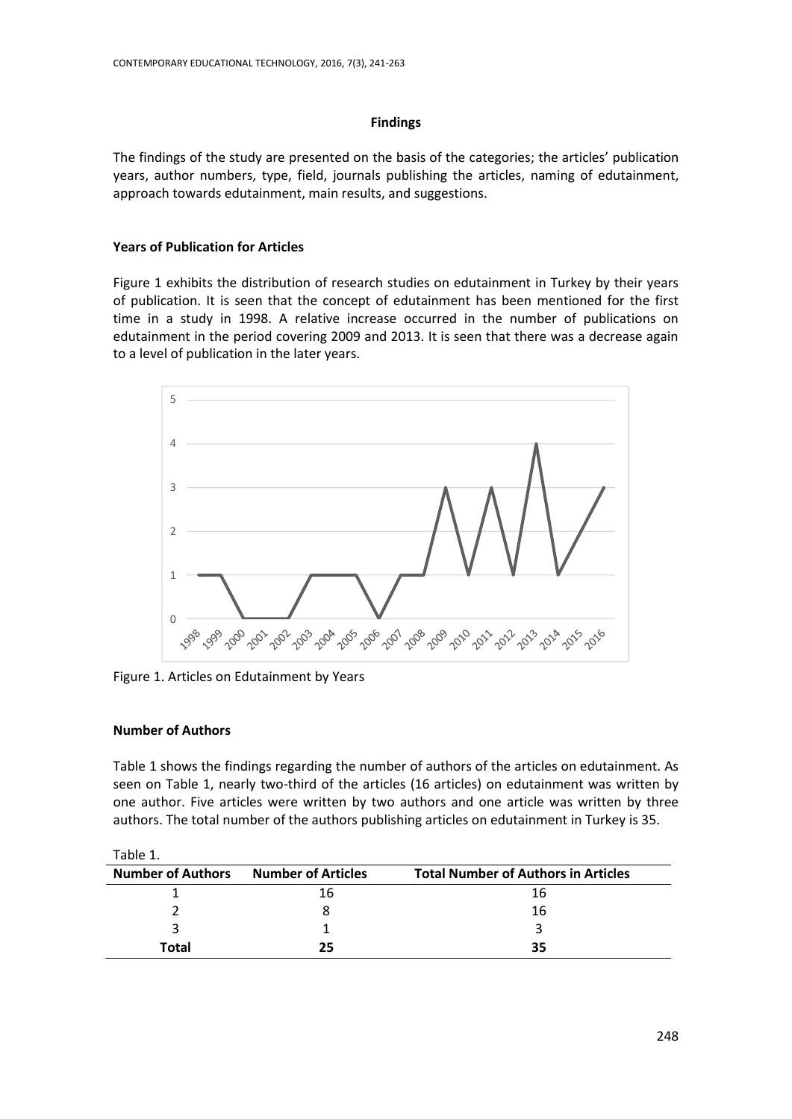# **Findings**

The findings of the study are presented on the basis of the categories; the articles' publication years, author numbers, type, field, journals publishing the articles, naming of edutainment, approach towards edutainment, main results, and suggestions.

# **Years of Publication for Articles**

Figure 1 exhibits the distribution of research studies on edutainment in Turkey by their years of publication. It is seen that the concept of edutainment has been mentioned for the first time in a study in 1998. A relative increase occurred in the number of publications on edutainment in the period covering 2009 and 2013. It is seen that there was a decrease again to a level of publication in the later years.



Figure 1. Articles on Edutainment by Years

# **Number of Authors**

Table 1 shows the findings regarding the number of authors of the articles on edutainment. As seen on Table 1, nearly two-third of the articles (16 articles) on edutainment was written by one author. Five articles were written by two authors and one article was written by three authors. The total number of the authors publishing articles on edutainment in Turkey is 35.

| Table 1.                 |                           |                                            |
|--------------------------|---------------------------|--------------------------------------------|
| <b>Number of Authors</b> | <b>Number of Articles</b> | <b>Total Number of Authors in Articles</b> |
|                          | 16                        | 16                                         |
|                          |                           | 16                                         |
|                          |                           |                                            |
| Total                    | 75                        | 35                                         |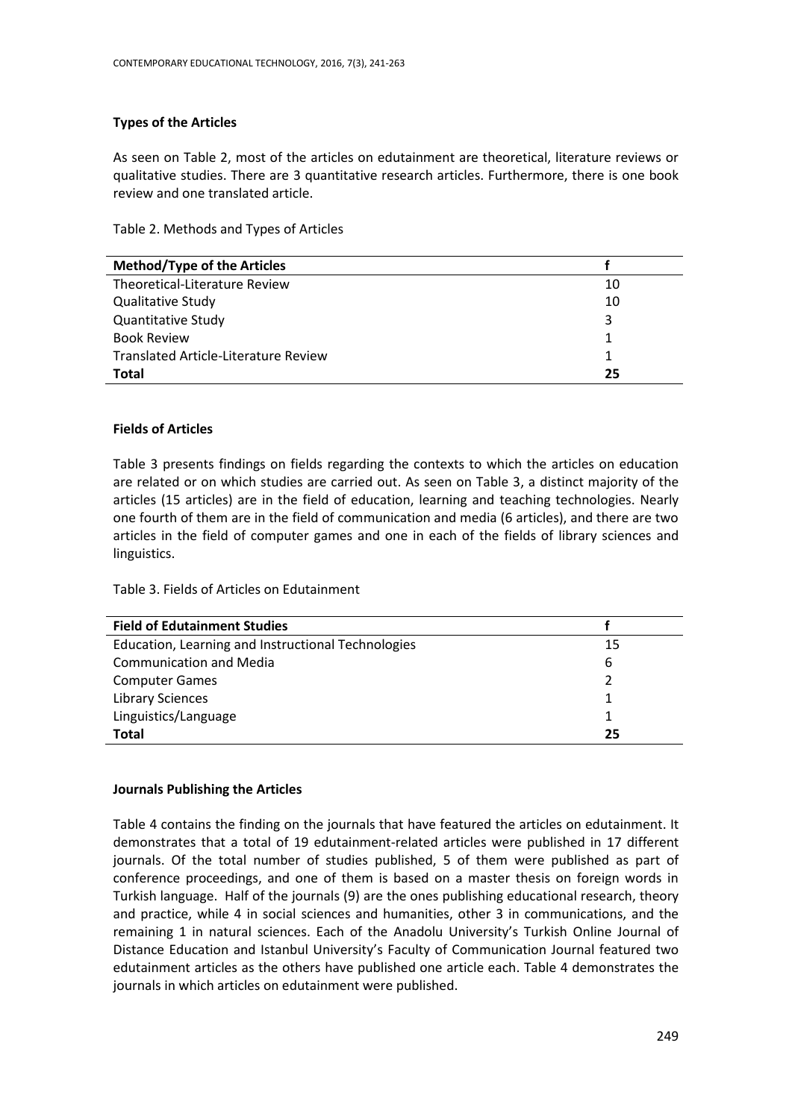## **Types of the Articles**

As seen on Table 2, most of the articles on edutainment are theoretical, literature reviews or qualitative studies. There are 3 quantitative research articles. Furthermore, there is one book review and one translated article.

Table 2. Methods and Types of Articles

| <b>Method/Type of the Articles</b>   |    |
|--------------------------------------|----|
| Theoretical-Literature Review        | 10 |
| <b>Qualitative Study</b>             | 10 |
| <b>Quantitative Study</b>            | 3  |
| <b>Book Review</b>                   |    |
| Translated Article-Literature Review |    |
| Total                                | 25 |

## **Fields of Articles**

Table 3 presents findings on fields regarding the contexts to which the articles on education are related or on which studies are carried out. As seen on Table 3, a distinct majority of the articles (15 articles) are in the field of education, learning and teaching technologies. Nearly one fourth of them are in the field of communication and media (6 articles), and there are two articles in the field of computer games and one in each of the fields of library sciences and linguistics.

Table 3. Fields of Articles on Edutainment

| <b>Field of Edutainment Studies</b>                |    |
|----------------------------------------------------|----|
| Education, Learning and Instructional Technologies | 15 |
| <b>Communication and Media</b>                     | 6  |
| <b>Computer Games</b>                              |    |
| <b>Library Sciences</b>                            |    |
| Linguistics/Language                               |    |
| <b>Total</b>                                       | 25 |

## **Journals Publishing the Articles**

Table 4 contains the finding on the journals that have featured the articles on edutainment. It demonstrates that a total of 19 edutainment-related articles were published in 17 different journals. Of the total number of studies published, 5 of them were published as part of conference proceedings, and one of them is based on a master thesis on foreign words in Turkish language. Half of the journals (9) are the ones publishing educational research, theory and practice, while 4 in social sciences and humanities, other 3 in communications, and the remaining 1 in natural sciences. Each of the Anadolu University's Turkish Online Journal of Distance Education and Istanbul University's Faculty of Communication Journal featured two edutainment articles as the others have published one article each. Table 4 demonstrates the journals in which articles on edutainment were published.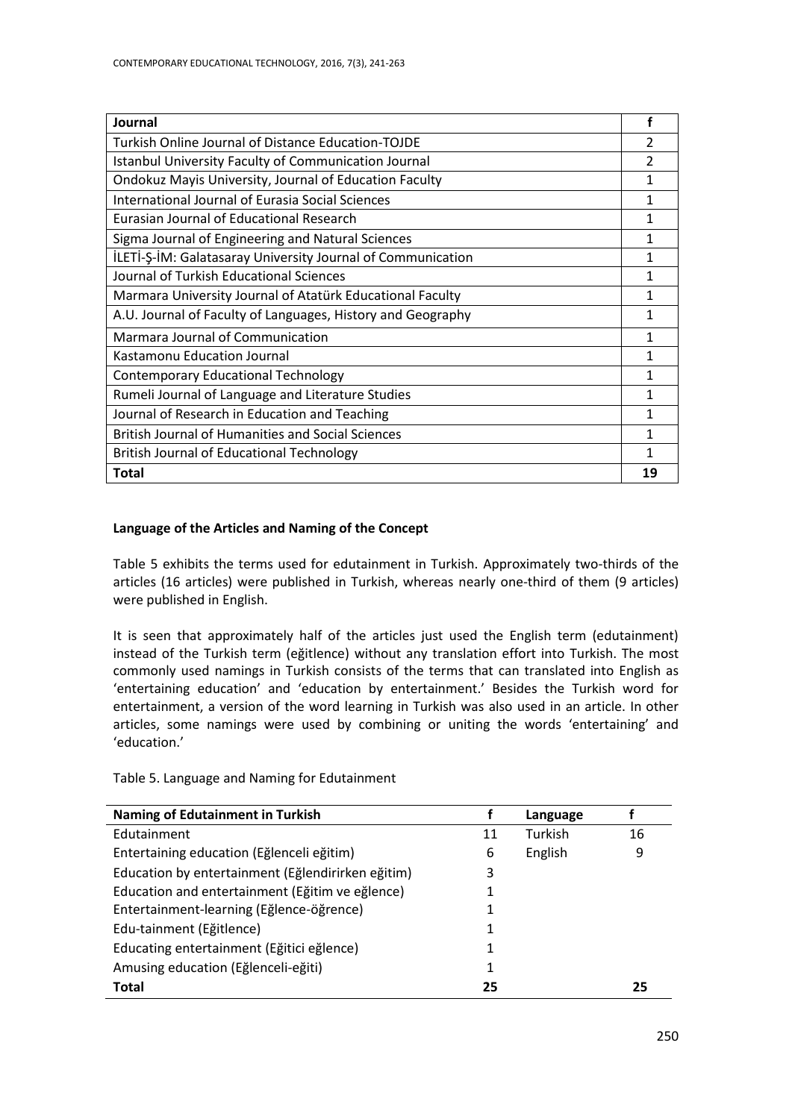| <b>Journal</b>                                              |    |
|-------------------------------------------------------------|----|
| Turkish Online Journal of Distance Education-TOJDE          |    |
| Istanbul University Faculty of Communication Journal        |    |
| Ondokuz Mayis University, Journal of Education Faculty      |    |
| International Journal of Eurasia Social Sciences            |    |
| Eurasian Journal of Educational Research                    |    |
| Sigma Journal of Engineering and Natural Sciences           | 1  |
| ILETI-Ş-İM: Galatasaray University Journal of Communication | 1  |
| Journal of Turkish Educational Sciences                     | 1  |
| Marmara University Journal of Atatürk Educational Faculty   |    |
| A.U. Journal of Faculty of Languages, History and Geography |    |
| Marmara Journal of Communication                            |    |
| Kastamonu Education Journal                                 |    |
| Contemporary Educational Technology                         |    |
| Rumeli Journal of Language and Literature Studies           |    |
| Journal of Research in Education and Teaching               |    |
| <b>British Journal of Humanities and Social Sciences</b>    |    |
| <b>British Journal of Educational Technology</b>            |    |
| Total                                                       | 19 |

# **Language of the Articles and Naming of the Concept**

Table 5 exhibits the terms used for edutainment in Turkish. Approximately two-thirds of the articles (16 articles) were published in Turkish, whereas nearly one-third of them (9 articles) were published in English.

It is seen that approximately half of the articles just used the English term (edutainment) instead of the Turkish term (eğitlence) without any translation effort into Turkish. The most commonly used namings in Turkish consists of the terms that can translated into English as 'entertaining education' and 'education by entertainment.' Besides the Turkish word for entertainment, a version of the word learning in Turkish was also used in an article. In other articles, some namings were used by combining or uniting the words 'entertaining' and 'education.'

Table 5. Language and Naming for Edutainment

| <b>Naming of Edutainment in Turkish</b>           |    | Language       |    |
|---------------------------------------------------|----|----------------|----|
| Edutainment                                       | 11 | <b>Turkish</b> | 16 |
| Entertaining education (Eğlenceli eğitim)         | 6  | English        | 9  |
| Education by entertainment (Eğlendirirken eğitim) | 3  |                |    |
| Education and entertainment (Eğitim ve eğlence)   |    |                |    |
| Entertainment-learning (Eğlence-öğrence)          |    |                |    |
| Edu-tainment (Eğitlence)                          |    |                |    |
| Educating entertainment (Eğitici eğlence)         | 1  |                |    |
| Amusing education (Eğlenceli-eğiti)               | 1  |                |    |
| Total                                             | 25 |                | 25 |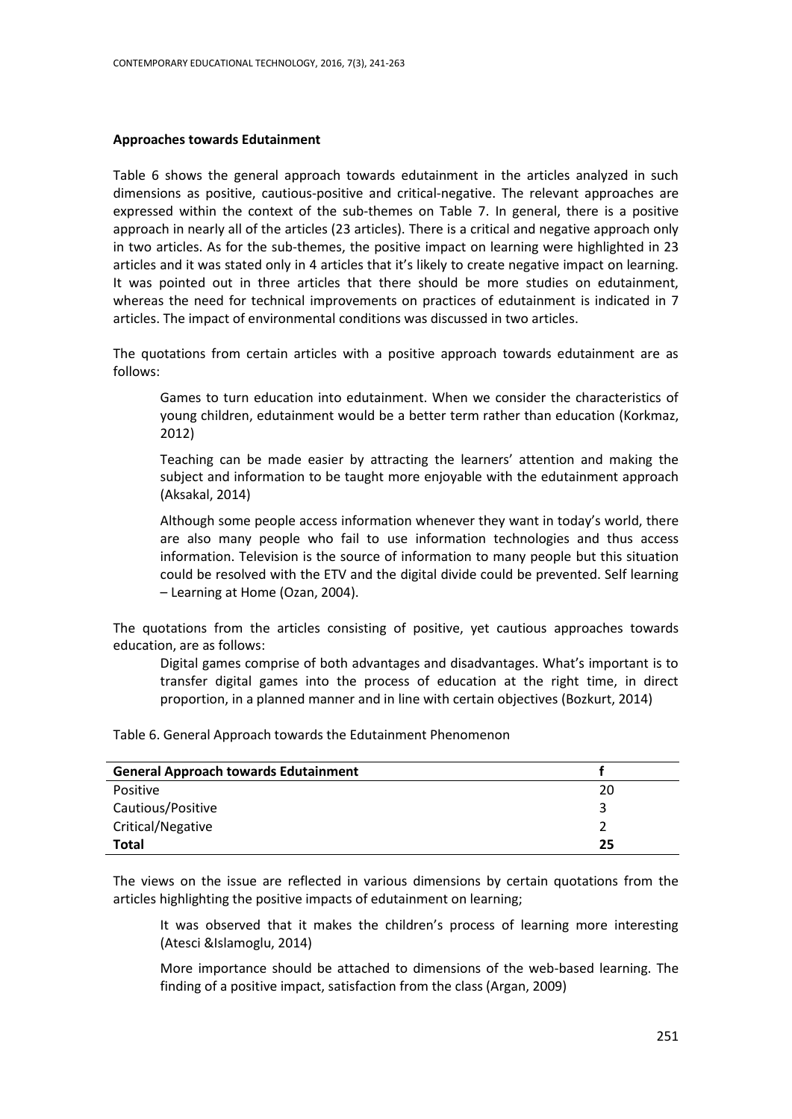## **Approaches towards Edutainment**

Table 6 shows the general approach towards edutainment in the articles analyzed in such dimensions as positive, cautious-positive and critical-negative. The relevant approaches are expressed within the context of the sub-themes on Table 7. In general, there is a positive approach in nearly all of the articles (23 articles). There is a critical and negative approach only in two articles. As for the sub-themes, the positive impact on learning were highlighted in 23 articles and it was stated only in 4 articles that it's likely to create negative impact on learning. It was pointed out in three articles that there should be more studies on edutainment, whereas the need for technical improvements on practices of edutainment is indicated in 7 articles. The impact of environmental conditions was discussed in two articles.

The quotations from certain articles with a positive approach towards edutainment are as follows:

Games to turn education into edutainment. When we consider the characteristics of young children, edutainment would be a better term rather than education (Korkmaz, 2012)

Teaching can be made easier by attracting the learners' attention and making the subject and information to be taught more enjoyable with the edutainment approach (Aksakal, 2014)

Although some people access information whenever they want in today's world, there are also many people who fail to use information technologies and thus access information. Television is the source of information to many people but this situation could be resolved with the ETV and the digital divide could be prevented. Self learning – Learning at Home (Ozan, 2004).

The quotations from the articles consisting of positive, yet cautious approaches towards education, are as follows:

Digital games comprise of both advantages and disadvantages. What's important is to transfer digital games into the process of education at the right time, in direct proportion, in a planned manner and in line with certain objectives (Bozkurt, 2014)

Table 6. General Approach towards the Edutainment Phenomenon

| <b>General Approach towards Edutainment</b> |    |
|---------------------------------------------|----|
| Positive                                    | 20 |
| Cautious/Positive                           |    |
| Critical/Negative                           |    |
| <b>Total</b>                                | 25 |

The views on the issue are reflected in various dimensions by certain quotations from the articles highlighting the positive impacts of edutainment on learning;

It was observed that it makes the children's process of learning more interesting (Atesci &Islamoglu, 2014)

More importance should be attached to dimensions of the web-based learning. The finding of a positive impact, satisfaction from the class (Argan, 2009)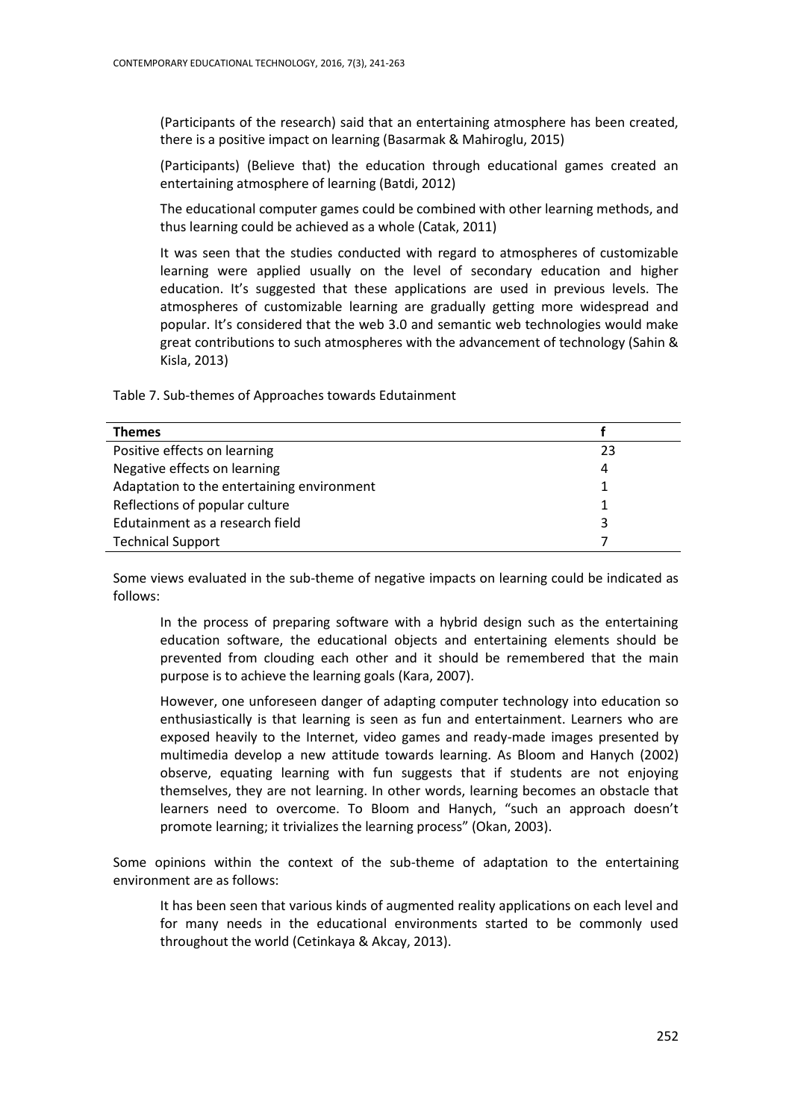(Participants of the research) said that an entertaining atmosphere has been created, there is a positive impact on learning (Basarmak & Mahiroglu, 2015)

(Participants) (Believe that) the education through educational games created an entertaining atmosphere of learning (Batdi, 2012)

The educational computer games could be combined with other learning methods, and thus learning could be achieved as a whole (Catak, 2011)

It was seen that the studies conducted with regard to atmospheres of customizable learning were applied usually on the level of secondary education and higher education. It's suggested that these applications are used in previous levels. The atmospheres of customizable learning are gradually getting more widespread and popular. It's considered that the web 3.0 and semantic web technologies would make great contributions to such atmospheres with the advancement of technology (Sahin & Kisla, 2013)

Table 7. Sub-themes of Approaches towards Edutainment

| <b>Themes</b>                              |    |
|--------------------------------------------|----|
| Positive effects on learning               | 23 |
| Negative effects on learning               | 4  |
| Adaptation to the entertaining environment |    |
| Reflections of popular culture             |    |
| Edutainment as a research field            | 3  |
| <b>Technical Support</b>                   |    |

Some views evaluated in the sub-theme of negative impacts on learning could be indicated as follows:

In the process of preparing software with a hybrid design such as the entertaining education software, the educational objects and entertaining elements should be prevented from clouding each other and it should be remembered that the main purpose is to achieve the learning goals (Kara, 2007).

However, one unforeseen danger of adapting computer technology into education so enthusiastically is that learning is seen as fun and entertainment. Learners who are exposed heavily to the Internet, video games and ready-made images presented by multimedia develop a new attitude towards learning. As Bloom and Hanych (2002) observe, equating learning with fun suggests that if students are not enjoying themselves, they are not learning. In other words, learning becomes an obstacle that learners need to overcome. To Bloom and Hanych, "such an approach doesn't promote learning; it trivializes the learning process" (Okan, 2003).

Some opinions within the context of the sub-theme of adaptation to the entertaining environment are as follows:

It has been seen that various kinds of augmented reality applications on each level and for many needs in the educational environments started to be commonly used throughout the world (Cetinkaya & Akcay, 2013).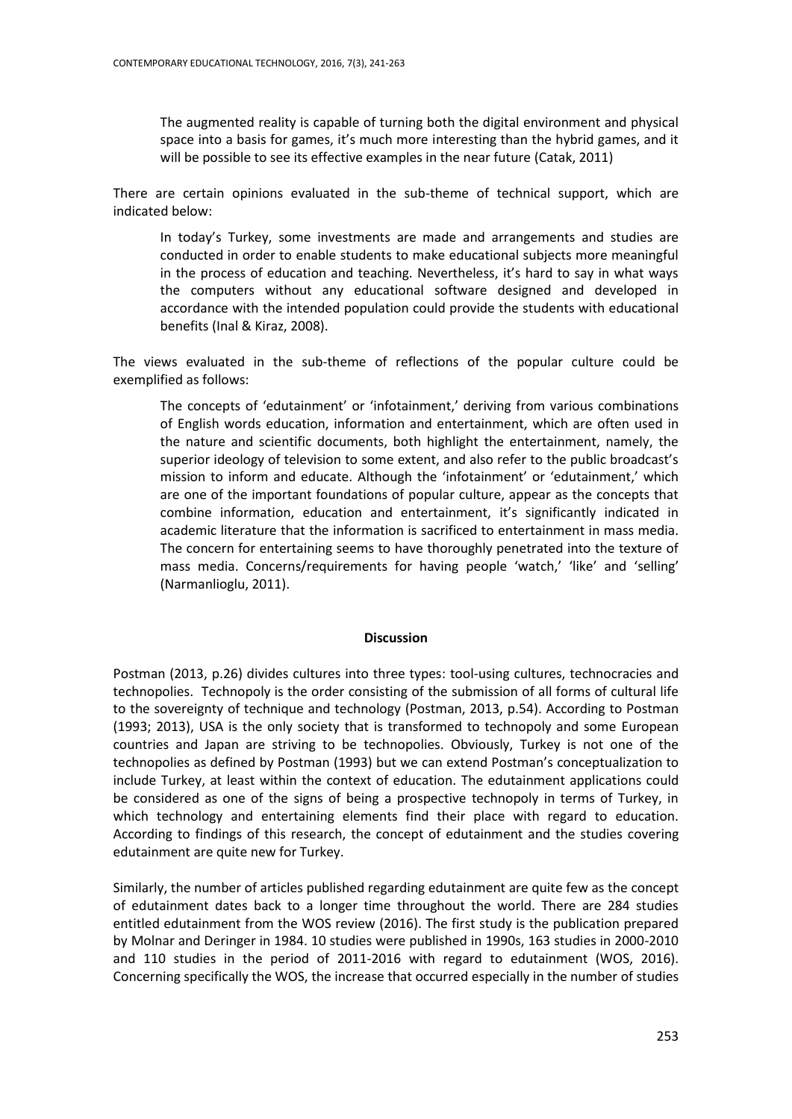The augmented reality is capable of turning both the digital environment and physical space into a basis for games, it's much more interesting than the hybrid games, and it will be possible to see its effective examples in the near future (Catak, 2011)

There are certain opinions evaluated in the sub-theme of technical support, which are indicated below:

In today's Turkey, some investments are made and arrangements and studies are conducted in order to enable students to make educational subjects more meaningful in the process of education and teaching. Nevertheless, it's hard to say in what ways the computers without any educational software designed and developed in accordance with the intended population could provide the students with educational benefits (Inal & Kiraz, 2008).

The views evaluated in the sub-theme of reflections of the popular culture could be exemplified as follows:

The concepts of 'edutainment' or 'infotainment,' deriving from various combinations of English words education, information and entertainment, which are often used in the nature and scientific documents, both highlight the entertainment, namely, the superior ideology of television to some extent, and also refer to the public broadcast's mission to inform and educate. Although the 'infotainment' or 'edutainment,' which are one of the important foundations of popular culture, appear as the concepts that combine information, education and entertainment, it's significantly indicated in academic literature that the information is sacrificed to entertainment in mass media. The concern for entertaining seems to have thoroughly penetrated into the texture of mass media. Concerns/requirements for having people 'watch,' 'like' and 'selling' (Narmanlioglu, 2011).

#### **Discussion**

Postman (2013, p.26) divides cultures into three types: tool-using cultures, technocracies and technopolies. Technopoly is the order consisting of the submission of all forms of cultural life to the sovereignty of technique and technology (Postman, 2013, p.54). According to Postman (1993; 2013), USA is the only society that is transformed to technopoly and some European countries and Japan are striving to be technopolies. Obviously, Turkey is not one of the technopolies as defined by Postman (1993) but we can extend Postman's conceptualization to include Turkey, at least within the context of education. The edutainment applications could be considered as one of the signs of being a prospective technopoly in terms of Turkey, in which technology and entertaining elements find their place with regard to education. According to findings of this research, the concept of edutainment and the studies covering edutainment are quite new for Turkey.

Similarly, the number of articles published regarding edutainment are quite few as the concept of edutainment dates back to a longer time throughout the world. There are 284 studies entitled edutainment from the WOS review (2016). The first study is the publication prepared by Molnar and Deringer in 1984. 10 studies were published in 1990s, 163 studies in 2000-2010 and 110 studies in the period of 2011-2016 with regard to edutainment (WOS, 2016). Concerning specifically the WOS, the increase that occurred especially in the number of studies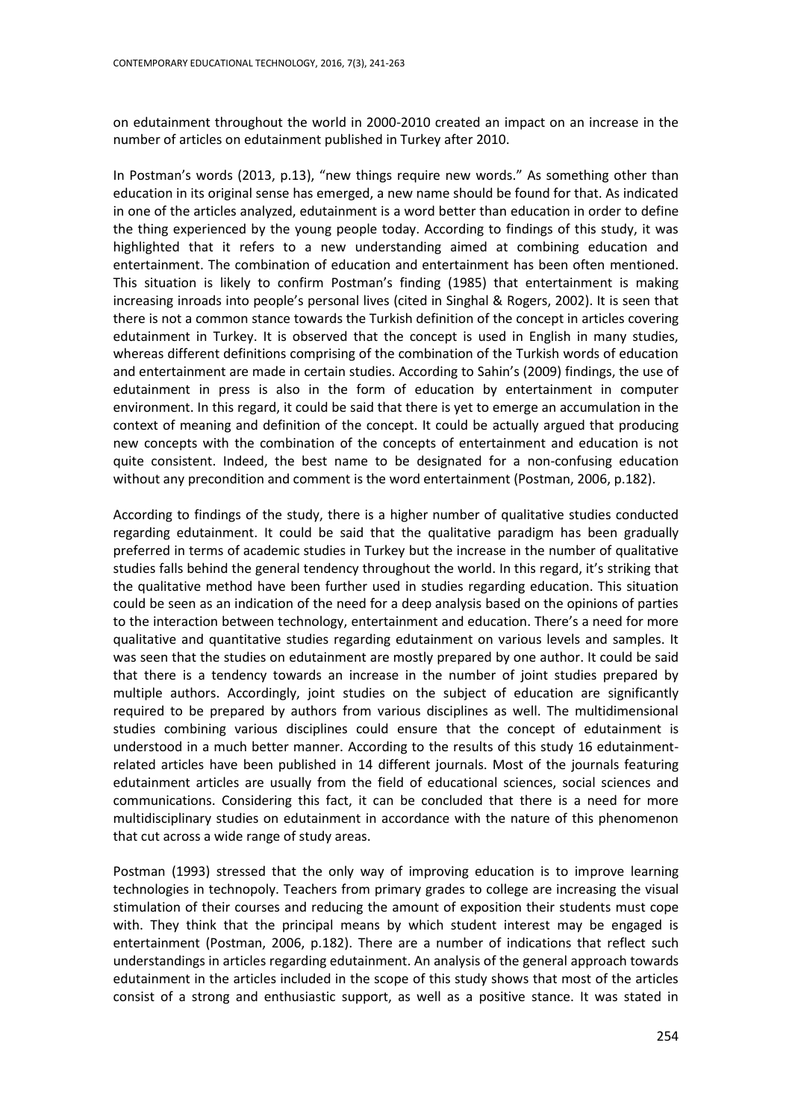on edutainment throughout the world in 2000-2010 created an impact on an increase in the number of articles on edutainment published in Turkey after 2010.

In Postman's words (2013, p.13), "new things require new words." As something other than education in its original sense has emerged, a new name should be found for that. As indicated in one of the articles analyzed, edutainment is a word better than education in order to define the thing experienced by the young people today. According to findings of this study, it was highlighted that it refers to a new understanding aimed at combining education and entertainment. The combination of education and entertainment has been often mentioned. This situation is likely to confirm Postman's finding (1985) that entertainment is making increasing inroads into people's personal lives (cited in Singhal & Rogers, 2002). It is seen that there is not a common stance towards the Turkish definition of the concept in articles covering edutainment in Turkey. It is observed that the concept is used in English in many studies, whereas different definitions comprising of the combination of the Turkish words of education and entertainment are made in certain studies. According to Sahin's (2009) findings, the use of edutainment in press is also in the form of education by entertainment in computer environment. In this regard, it could be said that there is yet to emerge an accumulation in the context of meaning and definition of the concept. It could be actually argued that producing new concepts with the combination of the concepts of entertainment and education is not quite consistent. Indeed, the best name to be designated for a non-confusing education without any precondition and comment is the word entertainment (Postman, 2006, p.182).

According to findings of the study, there is a higher number of qualitative studies conducted regarding edutainment. It could be said that the qualitative paradigm has been gradually preferred in terms of academic studies in Turkey but the increase in the number of qualitative studies falls behind the general tendency throughout the world. In this regard, it's striking that the qualitative method have been further used in studies regarding education. This situation could be seen as an indication of the need for a deep analysis based on the opinions of parties to the interaction between technology, entertainment and education. There's a need for more qualitative and quantitative studies regarding edutainment on various levels and samples. It was seen that the studies on edutainment are mostly prepared by one author. It could be said that there is a tendency towards an increase in the number of joint studies prepared by multiple authors. Accordingly, joint studies on the subject of education are significantly required to be prepared by authors from various disciplines as well. The multidimensional studies combining various disciplines could ensure that the concept of edutainment is understood in a much better manner. According to the results of this study 16 edutainmentrelated articles have been published in 14 different journals. Most of the journals featuring edutainment articles are usually from the field of educational sciences, social sciences and communications. Considering this fact, it can be concluded that there is a need for more multidisciplinary studies on edutainment in accordance with the nature of this phenomenon that cut across a wide range of study areas.

Postman (1993) stressed that the only way of improving education is to improve learning technologies in technopoly. Teachers from primary grades to college are increasing the visual stimulation of their courses and reducing the amount of exposition their students must cope with. They think that the principal means by which student interest may be engaged is entertainment (Postman, 2006, p.182). There are a number of indications that reflect such understandings in articles regarding edutainment. An analysis of the general approach towards edutainment in the articles included in the scope of this study shows that most of the articles consist of a strong and enthusiastic support, as well as a positive stance. It was stated in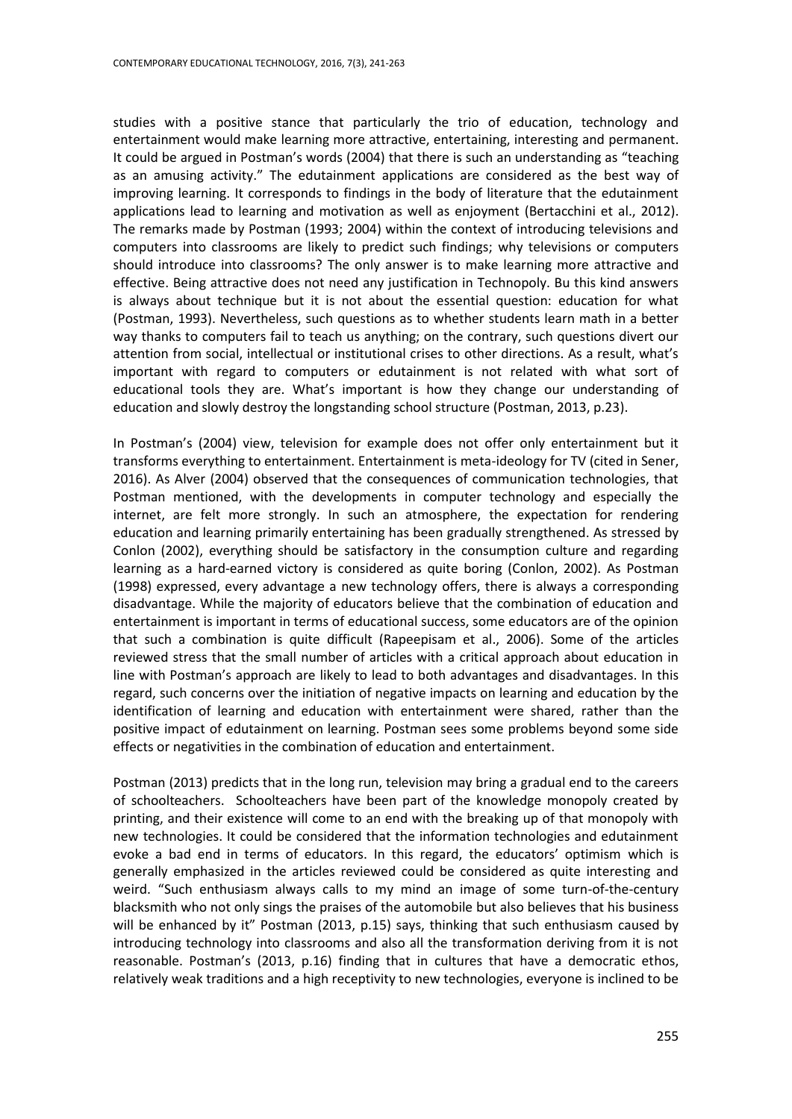studies with a positive stance that particularly the trio of education, technology and entertainment would make learning more attractive, entertaining, interesting and permanent. It could be argued in Postman's words (2004) that there is such an understanding as "teaching as an amusing activity." The edutainment applications are considered as the best way of improving learning. It corresponds to findings in the body of literature that the edutainment applications lead to learning and motivation as well as enjoyment (Bertacchini et al., 2012). The remarks made by Postman (1993; 2004) within the context of introducing televisions and computers into classrooms are likely to predict such findings; why televisions or computers should introduce into classrooms? The only answer is to make learning more attractive and effective. Being attractive does not need any justification in Technopoly. Bu this kind answers is always about technique but it is not about the essential question: education for what (Postman, 1993). Nevertheless, such questions as to whether students learn math in a better way thanks to computers fail to teach us anything; on the contrary, such questions divert our attention from social, intellectual or institutional crises to other directions. As a result, what's important with regard to computers or edutainment is not related with what sort of educational tools they are. What's important is how they change our understanding of education and slowly destroy the longstanding school structure (Postman, 2013, p.23).

In Postman's (2004) view, television for example does not offer only entertainment but it transforms everything to entertainment. Entertainment is meta-ideology for TV (cited in Sener, 2016). As Alver (2004) observed that the consequences of communication technologies, that Postman mentioned, with the developments in computer technology and especially the internet, are felt more strongly. In such an atmosphere, the expectation for rendering education and learning primarily entertaining has been gradually strengthened. As stressed by Conlon (2002), everything should be satisfactory in the consumption culture and regarding learning as a hard-earned victory is considered as quite boring (Conlon, 2002). As Postman (1998) expressed, every advantage a new technology offers, there is always a corresponding disadvantage. While the majority of educators believe that the combination of education and entertainment is important in terms of educational success, some educators are of the opinion that such a combination is quite difficult (Rapeepisam et al., 2006). Some of the articles reviewed stress that the small number of articles with a critical approach about education in line with Postman's approach are likely to lead to both advantages and disadvantages. In this regard, such concerns over the initiation of negative impacts on learning and education by the identification of learning and education with entertainment were shared, rather than the positive impact of edutainment on learning. Postman sees some problems beyond some side effects or negativities in the combination of education and entertainment.

Postman (2013) predicts that in the long run, television may bring a gradual end to the careers of schoolteachers. Schoolteachers have been part of the knowledge monopoly created by printing, and their existence will come to an end with the breaking up of that monopoly with new technologies. It could be considered that the information technologies and edutainment evoke a bad end in terms of educators. In this regard, the educators' optimism which is generally emphasized in the articles reviewed could be considered as quite interesting and weird. "Such enthusiasm always calls to my mind an image of some turn-of-the-century blacksmith who not only sings the praises of the automobile but also believes that his business will be enhanced by it" Postman (2013, p.15) says, thinking that such enthusiasm caused by introducing technology into classrooms and also all the transformation deriving from it is not reasonable. Postman's (2013, p.16) finding that in cultures that have a democratic ethos, relatively weak traditions and a high receptivity to new technologies, everyone is inclined to be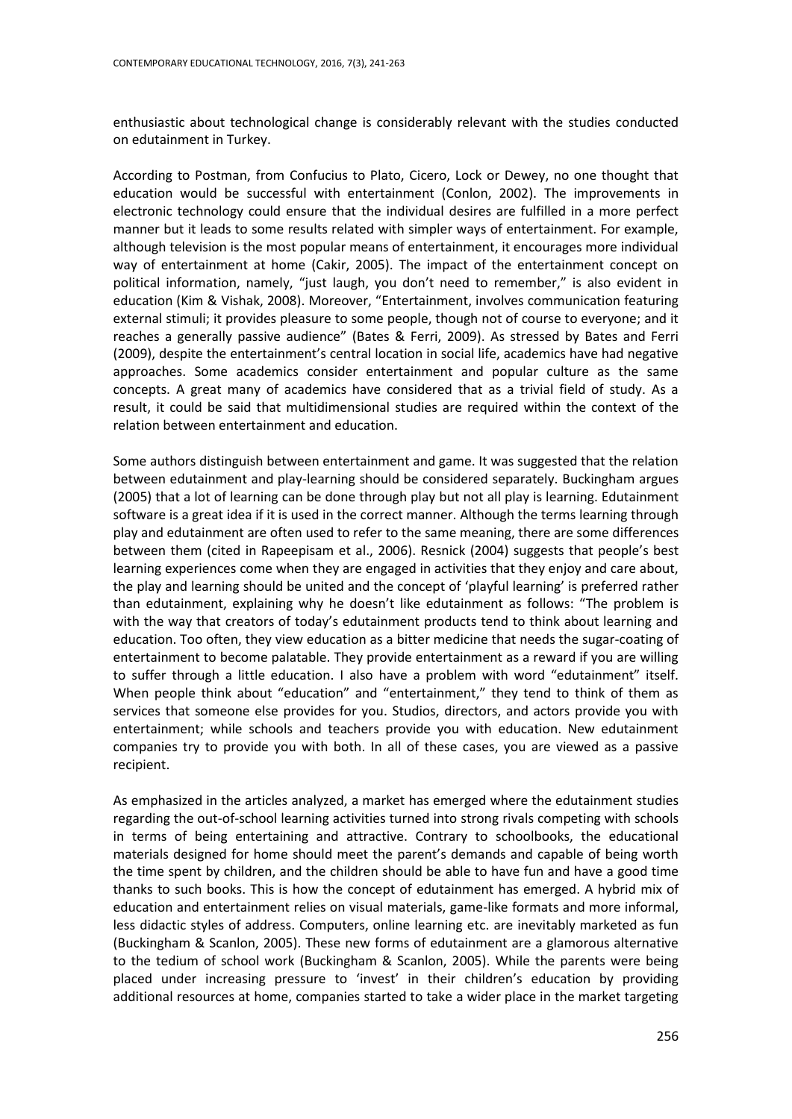enthusiastic about technological change is considerably relevant with the studies conducted on edutainment in Turkey.

According to Postman, from Confucius to Plato, Cicero, Lock or Dewey, no one thought that education would be successful with entertainment (Conlon, 2002). The improvements in electronic technology could ensure that the individual desires are fulfilled in a more perfect manner but it leads to some results related with simpler ways of entertainment. For example, although television is the most popular means of entertainment, it encourages more individual way of entertainment at home (Cakir, 2005). The impact of the entertainment concept on political information, namely, "just laugh, you don't need to remember," is also evident in education (Kim & Vishak, 2008). Moreover, "Entertainment, involves communication featuring external stimuli; it provides pleasure to some people, though not of course to everyone; and it reaches a generally passive audience" (Bates & Ferri, 2009). As stressed by Bates and Ferri (2009), despite the entertainment's central location in social life, academics have had negative approaches. Some academics consider entertainment and popular culture as the same concepts. A great many of academics have considered that as a trivial field of study. As a result, it could be said that multidimensional studies are required within the context of the relation between entertainment and education.

Some authors distinguish between entertainment and game. It was suggested that the relation between edutainment and play-learning should be considered separately. Buckingham argues (2005) that a lot of learning can be done through play but not all play is learning. Edutainment software is a great idea if it is used in the correct manner. Although the terms learning through play and edutainment are often used to refer to the same meaning, there are some differences between them (cited in Rapeepisam et al., 2006). Resnick (2004) suggests that people's best learning experiences come when they are engaged in activities that they enjoy and care about, the play and learning should be united and the concept of 'playful learning' is preferred rather than edutainment, explaining why he doesn't like edutainment as follows: "The problem is with the way that creators of today's edutainment products tend to think about learning and education. Too often, they view education as a bitter medicine that needs the sugar-coating of entertainment to become palatable. They provide entertainment as a reward if you are willing to suffer through a little education. I also have a problem with word "edutainment" itself. When people think about "education" and "entertainment," they tend to think of them as services that someone else provides for you. Studios, directors, and actors provide you with entertainment; while schools and teachers provide you with education. New edutainment companies try to provide you with both. In all of these cases, you are viewed as a passive recipient.

As emphasized in the articles analyzed, a market has emerged where the edutainment studies regarding the out-of-school learning activities turned into strong rivals competing with schools in terms of being entertaining and attractive. Contrary to schoolbooks, the educational materials designed for home should meet the parent's demands and capable of being worth the time spent by children, and the children should be able to have fun and have a good time thanks to such books. This is how the concept of edutainment has emerged. A hybrid mix of education and entertainment relies on visual materials, game-like formats and more informal, less didactic styles of address. Computers, online learning etc. are inevitably marketed as fun (Buckingham & Scanlon, 2005). These new forms of edutainment are a glamorous alternative to the tedium of school work (Buckingham & Scanlon, 2005). While the parents were being placed under increasing pressure to 'invest' in their children's education by providing additional resources at home, companies started to take a wider place in the market targeting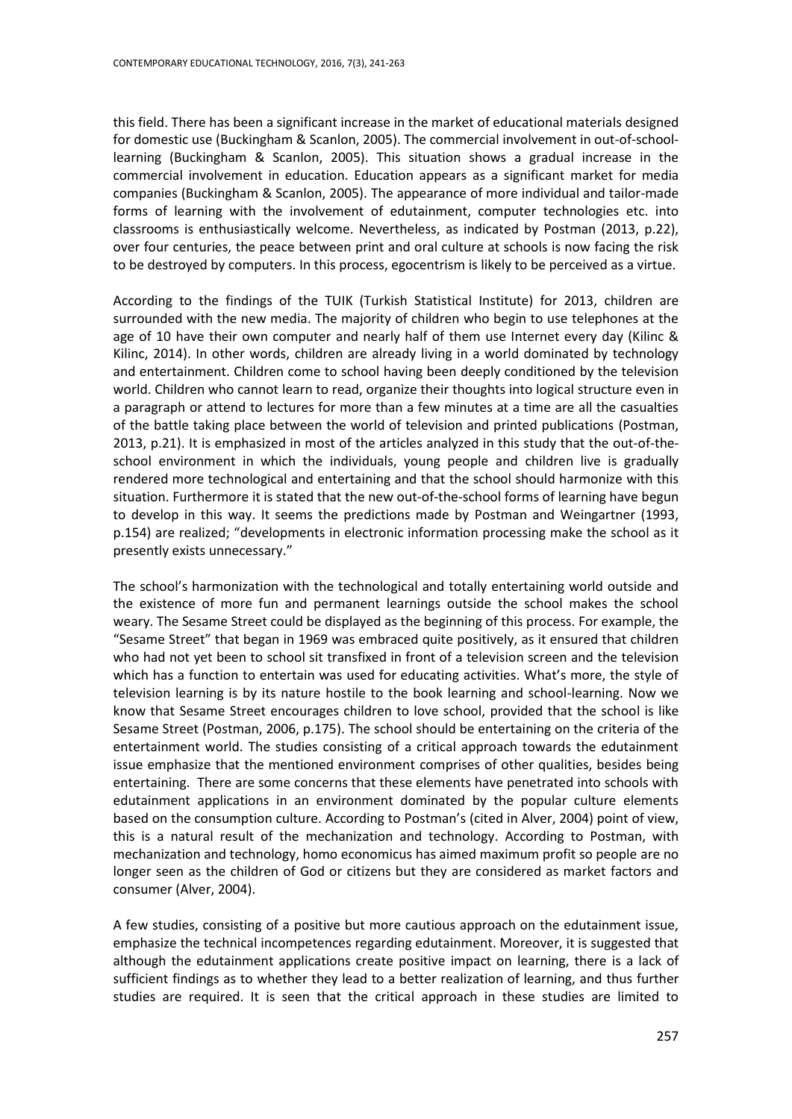this field. There has been a significant increase in the market of educational materials designed for domestic use (Buckingham & Scanlon, 2005). The commercial involvement in out-of-schoollearning (Buckingham & Scanlon, 2005). This situation shows a gradual increase in the commercial involvement in education. Education appears as a significant market for media companies (Buckingham & Scanlon, 2005). The appearance of more individual and tailor-made forms of learning with the involvement of edutainment, computer technologies etc. into classrooms is enthusiastically welcome. Nevertheless, as indicated by Postman (2013, p.22), over four centuries, the peace between print and oral culture at schools is now facing the risk to be destroyed by computers. In this process, egocentrism is likely to be perceived as a virtue.

According to the findings of the TUIK (Turkish Statistical Institute) for 2013, children are surrounded with the new media. The majority of children who begin to use telephones at the age of 10 have their own computer and nearly half of them use Internet every day (Kilinc & Kilinc, 2014). In other words, children are already living in a world dominated by technology and entertainment. Children come to school having been deeply conditioned by the television world. Children who cannot learn to read, organize their thoughts into logical structure even in a paragraph or attend to lectures for more than a few minutes at a time are all the casualties of the battle taking place between the world of television and printed publications (Postman, 2013, p.21). It is emphasized in most of the articles analyzed in this study that the out-of-theschool environment in which the individuals, young people and children live is gradually rendered more technological and entertaining and that the school should harmonize with this situation. Furthermore it is stated that the new out-of-the-school forms of learning have begun to develop in this way. It seems the predictions made by Postman and Weingartner (1993, p.154) are realized; "developments in electronic information processing make the school as it presently exists unnecessary."

The school's harmonization with the technological and totally entertaining world outside and the existence of more fun and permanent learnings outside the school makes the school weary. The Sesame Street could be displayed as the beginning of this process. For example, the "Sesame Street" that began in 1969 was embraced quite positively, as it ensured that children who had not yet been to school sit transfixed in front of a television screen and the television which has a function to entertain was used for educating activities. What's more, the style of television learning is by its nature hostile to the book learning and school-learning. Now we know that Sesame Street encourages children to love school, provided that the school is like Sesame Street (Postman, 2006, p.175). The school should be entertaining on the criteria of the entertainment world. The studies consisting of a critical approach towards the edutainment issue emphasize that the mentioned environment comprises of other qualities, besides being entertaining. There are some concerns that these elements have penetrated into schools with edutainment applications in an environment dominated by the popular culture elements based on the consumption culture. According to Postman's (cited in Alver, 2004) point of view, this is a natural result of the mechanization and technology. According to Postman, with mechanization and technology, homo economicus has aimed maximum profit so people are no longer seen as the children of God or citizens but they are considered as market factors and consumer (Alver, 2004).

A few studies, consisting of a positive but more cautious approach on the edutainment issue, emphasize the technical incompetences regarding edutainment. Moreover, it is suggested that although the edutainment applications create positive impact on learning, there is a lack of sufficient findings as to whether they lead to a better realization of learning, and thus further studies are required. It is seen that the critical approach in these studies are limited to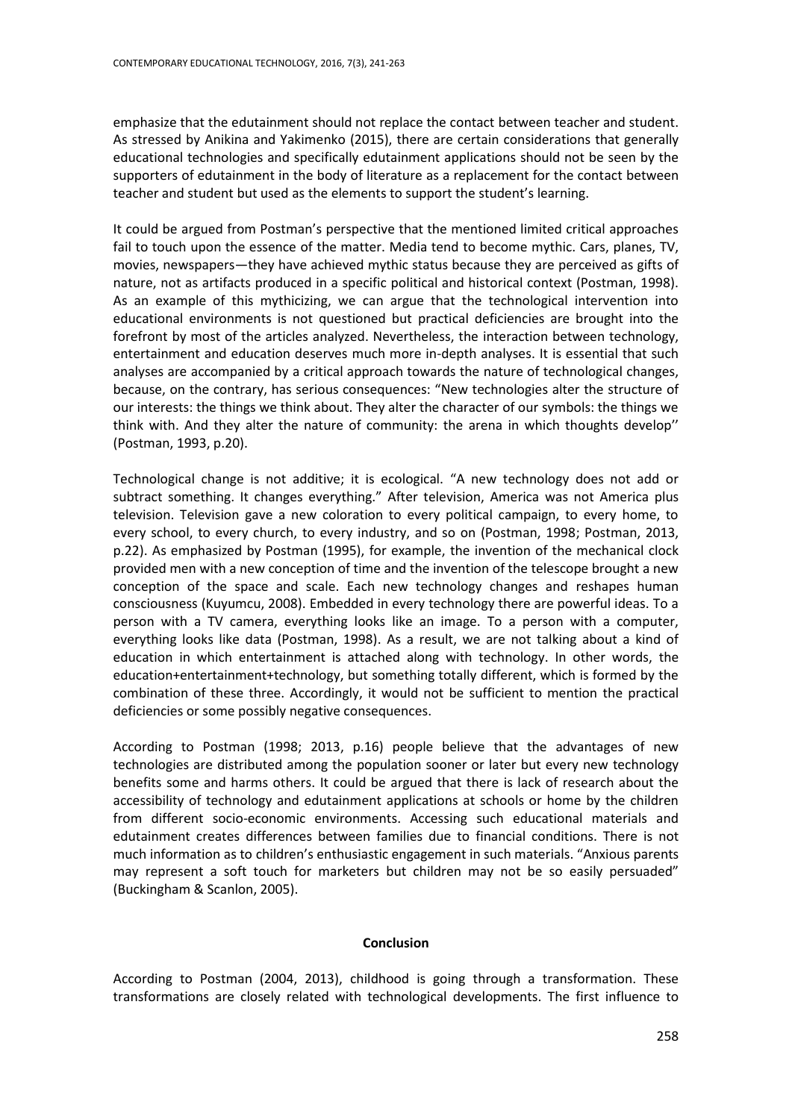emphasize that the edutainment should not replace the contact between teacher and student. As stressed by Anikina and Yakimenko (2015), there are certain considerations that generally educational technologies and specifically edutainment applications should not be seen by the supporters of edutainment in the body of literature as a replacement for the contact between teacher and student but used as the elements to support the student's learning.

It could be argued from Postman's perspective that the mentioned limited critical approaches fail to touch upon the essence of the matter. Media tend to become mythic. Cars, planes, TV, movies, newspapers—they have achieved mythic status because they are perceived as gifts of nature, not as artifacts produced in a specific political and historical context (Postman, 1998). As an example of this mythicizing, we can argue that the technological intervention into educational environments is not questioned but practical deficiencies are brought into the forefront by most of the articles analyzed. Nevertheless, the interaction between technology, entertainment and education deserves much more in-depth analyses. It is essential that such analyses are accompanied by a critical approach towards the nature of technological changes, because, on the contrary, has serious consequences: "New technologies alter the structure of our interests: the things we think about. They alter the character of our symbols: the things we think with. And they alter the nature of community: the arena in which thoughts develop'' (Postman, 1993, p.20).

Technological change is not additive; it is ecological. "A new technology does not add or subtract something. It changes everything." After television, America was not America plus television. Television gave a new coloration to every political campaign, to every home, to every school, to every church, to every industry, and so on (Postman, 1998; Postman, 2013, p.22). As emphasized by Postman (1995), for example, the invention of the mechanical clock provided men with a new conception of time and the invention of the telescope brought a new conception of the space and scale. Each new technology changes and reshapes human consciousness (Kuyumcu, 2008). Embedded in every technology there are powerful ideas. To a person with a TV camera, everything looks like an image. To a person with a computer, everything looks like data (Postman, 1998). As a result, we are not talking about a kind of education in which entertainment is attached along with technology. In other words, the education+entertainment+technology, but something totally different, which is formed by the combination of these three. Accordingly, it would not be sufficient to mention the practical deficiencies or some possibly negative consequences.

According to Postman (1998; 2013, p.16) people believe that the advantages of new technologies are distributed among the population sooner or later but every new technology benefits some and harms others. It could be argued that there is lack of research about the accessibility of technology and edutainment applications at schools or home by the children from different socio-economic environments. Accessing such educational materials and edutainment creates differences between families due to financial conditions. There is not much information as to children's enthusiastic engagement in such materials. "Anxious parents may represent a soft touch for marketers but children may not be so easily persuaded" (Buckingham & Scanlon, 2005).

## **Conclusion**

According to Postman (2004, 2013), childhood is going through a transformation. These transformations are closely related with technological developments. The first influence to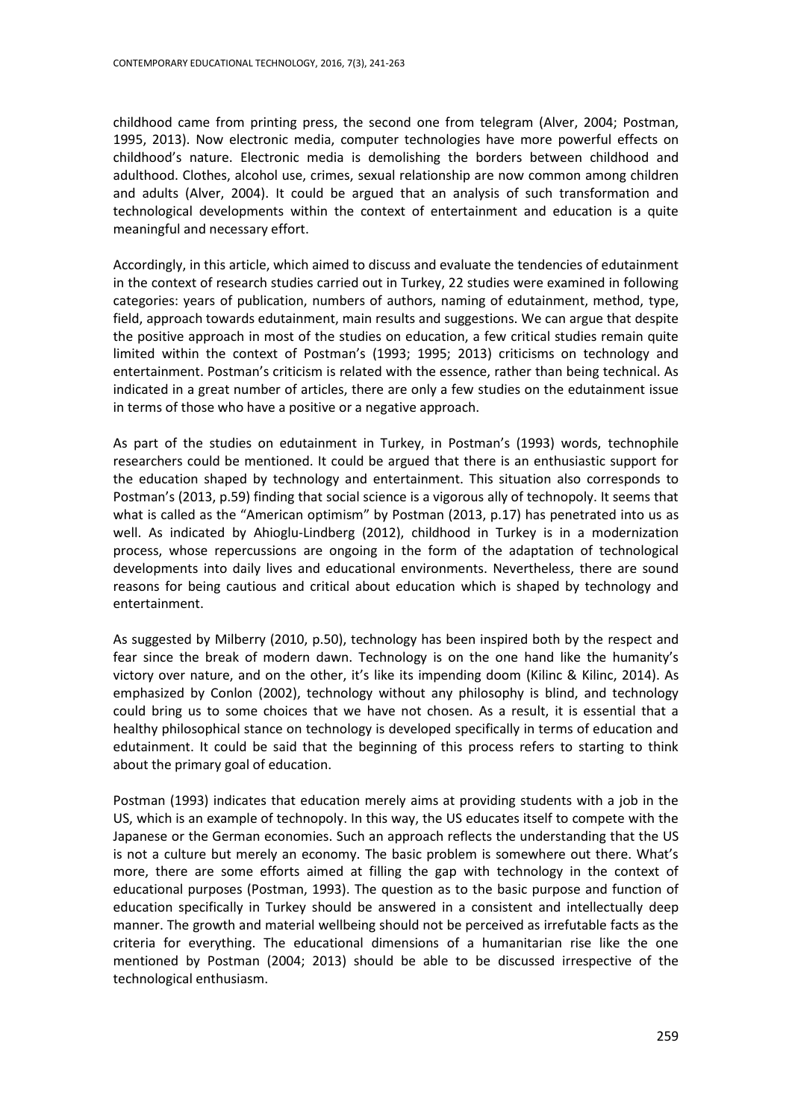childhood came from printing press, the second one from telegram (Alver, 2004; Postman, 1995, 2013). Now electronic media, computer technologies have more powerful effects on childhood's nature. Electronic media is demolishing the borders between childhood and adulthood. Clothes, alcohol use, crimes, sexual relationship are now common among children and adults (Alver, 2004). It could be argued that an analysis of such transformation and technological developments within the context of entertainment and education is a quite meaningful and necessary effort.

Accordingly, in this article, which aimed to discuss and evaluate the tendencies of edutainment in the context of research studies carried out in Turkey, 22 studies were examined in following categories: years of publication, numbers of authors, naming of edutainment, method, type, field, approach towards edutainment, main results and suggestions. We can argue that despite the positive approach in most of the studies on education, a few critical studies remain quite limited within the context of Postman's (1993; 1995; 2013) criticisms on technology and entertainment. Postman's criticism is related with the essence, rather than being technical. As indicated in a great number of articles, there are only a few studies on the edutainment issue in terms of those who have a positive or a negative approach.

As part of the studies on edutainment in Turkey, in Postman's (1993) words, technophile researchers could be mentioned. It could be argued that there is an enthusiastic support for the education shaped by technology and entertainment. This situation also corresponds to Postman's (2013, p.59) finding that social science is a vigorous ally of technopoly. It seems that what is called as the "American optimism" by Postman (2013, p.17) has penetrated into us as well. As indicated by Ahioglu-Lindberg (2012), childhood in Turkey is in a modernization process, whose repercussions are ongoing in the form of the adaptation of technological developments into daily lives and educational environments. Nevertheless, there are sound reasons for being cautious and critical about education which is shaped by technology and entertainment.

As suggested by Milberry (2010, p.50), technology has been inspired both by the respect and fear since the break of modern dawn. Technology is on the one hand like the humanity's victory over nature, and on the other, it's like its impending doom (Kilinc & Kilinc, 2014). As emphasized by Conlon (2002), technology without any philosophy is blind, and technology could bring us to some choices that we have not chosen. As a result, it is essential that a healthy philosophical stance on technology is developed specifically in terms of education and edutainment. It could be said that the beginning of this process refers to starting to think about the primary goal of education.

Postman (1993) indicates that education merely aims at providing students with a job in the US, which is an example of technopoly. In this way, the US educates itself to compete with the Japanese or the German economies. Such an approach reflects the understanding that the US is not a culture but merely an economy. The basic problem is somewhere out there. What's more, there are some efforts aimed at filling the gap with technology in the context of educational purposes (Postman, 1993). The question as to the basic purpose and function of education specifically in Turkey should be answered in a consistent and intellectually deep manner. The growth and material wellbeing should not be perceived as irrefutable facts as the criteria for everything. The educational dimensions of a humanitarian rise like the one mentioned by Postman (2004; 2013) should be able to be discussed irrespective of the technological enthusiasm.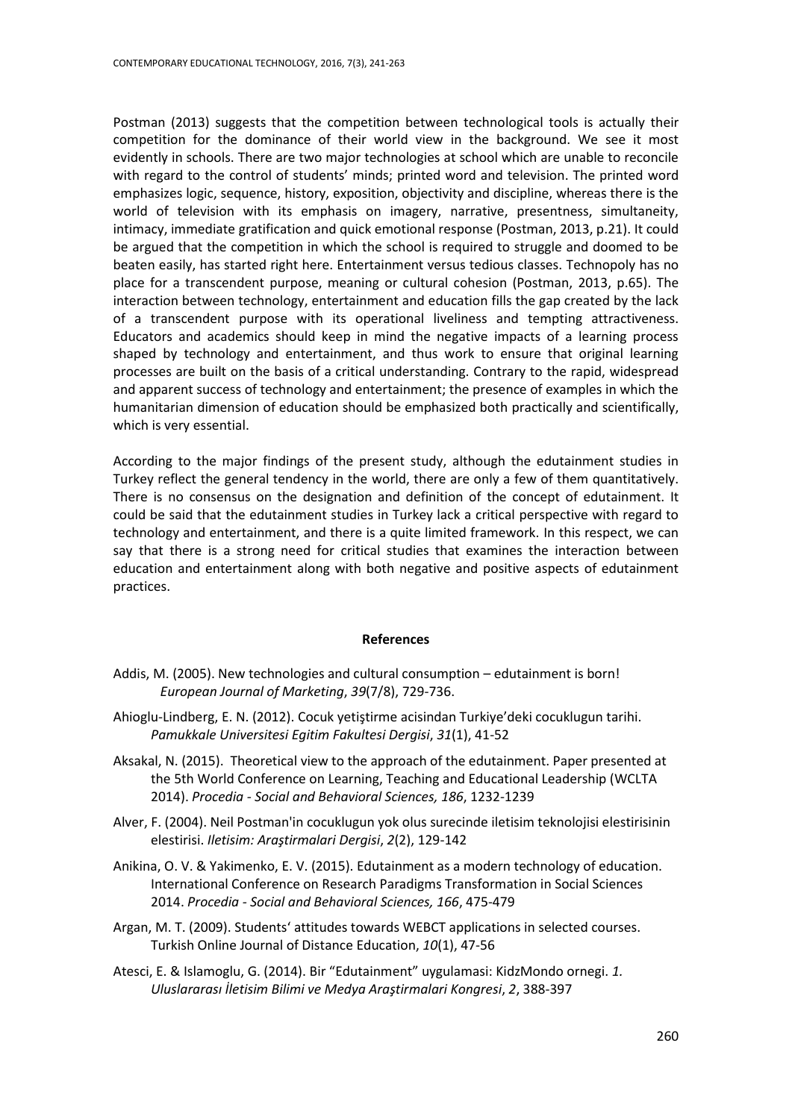Postman (2013) suggests that the competition between technological tools is actually their competition for the dominance of their world view in the background. We see it most evidently in schools. There are two major technologies at school which are unable to reconcile with regard to the control of students' minds; printed word and television. The printed word emphasizes logic, sequence, history, exposition, objectivity and discipline, whereas there is the world of television with its emphasis on imagery, narrative, presentness, simultaneity, intimacy, immediate gratification and quick emotional response (Postman, 2013, p.21). It could be argued that the competition in which the school is required to struggle and doomed to be beaten easily, has started right here. Entertainment versus tedious classes. Technopoly has no place for a transcendent purpose, meaning or cultural cohesion (Postman, 2013, p.65). The interaction between technology, entertainment and education fills the gap created by the lack of a transcendent purpose with its operational liveliness and tempting attractiveness. Educators and academics should keep in mind the negative impacts of a learning process shaped by technology and entertainment, and thus work to ensure that original learning processes are built on the basis of a critical understanding. Contrary to the rapid, widespread and apparent success of technology and entertainment; the presence of examples in which the humanitarian dimension of education should be emphasized both practically and scientifically, which is very essential.

According to the major findings of the present study, although the edutainment studies in Turkey reflect the general tendency in the world, there are only a few of them quantitatively. There is no consensus on the designation and definition of the concept of edutainment. It could be said that the edutainment studies in Turkey lack a critical perspective with regard to technology and entertainment, and there is a quite limited framework. In this respect, we can say that there is a strong need for critical studies that examines the interaction between education and entertainment along with both negative and positive aspects of edutainment practices.

#### **References**

- Addis, M. (2005). New technologies and cultural consumption edutainment is born! *European Journal of Marketing*, *39*(7/8), 729-736.
- Ahioglu-Lindberg, E. N. (2012). Cocuk yetiştirme acisindan Turkiye'deki cocuklugun tarihi. *Pamukkale Universitesi Egitim Fakultesi Dergisi*, *31*(1), 41-52
- Aksakal, N. (2015). Theoretical view to the approach of the edutainment. Paper presented at the 5th World Conference on Learning, Teaching and Educational Leadership (WCLTA 2014). *Procedia - Social and Behavioral Sciences, 186*, 1232-1239
- Alver, F. (2004). Neil Postman'in cocuklugun yok olus surecinde iletisim teknolojisi elestirisinin elestirisi. *Iletisim: Araştirmalari Dergisi*, *2*(2), 129-142
- Anikina, O. V. & Yakimenko, E. V. (2015). Edutainment as a modern technology of education. International Conference on Research Paradigms Transformation in Social Sciences 2014. *Procedia - Social and Behavioral Sciences, 166*, 475-479
- Argan, M. T. (2009). Students' attitudes towards WEBCT applications in selected courses. Turkish Online Journal of Distance Education, *10*(1), 47-56
- Atesci, E. & Islamoglu, G. (2014). Bir "Edutainment" uygulamasi: KidzMondo ornegi. *1. Uluslararası İletisim Bilimi ve Medya Araştirmalari Kongresi*, *2*, 388-397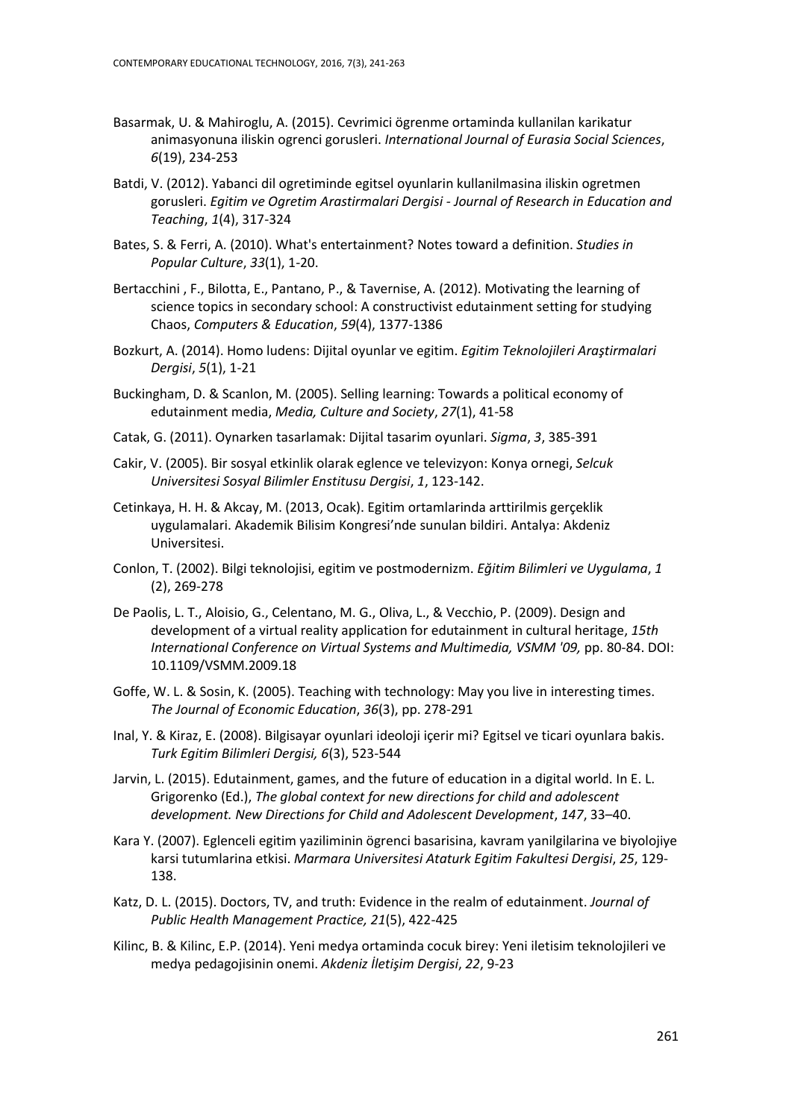- Basarmak, U. & Mahiroglu, A. (2015). Cevrimici ögrenme ortaminda kullanilan karikatur animasyonuna iliskin ogrenci gorusleri. *International Journal of Eurasia Social Sciences*, *6*(19), 234-253
- Batdi, V. (2012). Yabanci dil ogretiminde egitsel oyunlarin kullanilmasina iliskin ogretmen gorusleri. *Egitim ve Ogretim Arastirmalari Dergisi - Journal of Research in Education and Teaching*, *1*(4), 317-324
- Bates, S. & Ferri, A. (2010). What's entertainment? Notes toward a definition. *Studies in Popular Culture*, *33*(1), 1-20.
- Bertacchini , F., Bilotta, E., Pantano, P., & Tavernise, A. (2012). Motivating the learning of science topics in secondary school: A constructivist edutainment setting for studying Chaos, *Computers & Education*, *59*(4), 1377-1386
- Bozkurt, A. (2014). Homo ludens: Dijital oyunlar ve egitim. *Egitim Teknolojileri Araştirmalari Dergisi*, *5*(1), 1-21
- Buckingham, D. & Scanlon, M. (2005). Selling learning: Towards a political economy of edutainment media, *Media, Culture and Society*, *27*(1), 41-58
- Catak, G. (2011). Oynarken tasarlamak: Dijital tasarim oyunlari. *Sigma*, *3*, 385-391
- Cakir, V. (2005). Bir sosyal etkinlik olarak eglence ve televizyon: Konya ornegi, *Selcuk Universitesi Sosyal Bilimler Enstitusu Dergisi*, *1*, 123-142.
- Cetinkaya, H. H. & Akcay, M. (2013, Ocak). Egitim ortamlarinda arttirilmis gerçeklik uygulamalari. Akademik Bilisim Kongresi'nde sunulan bildiri. Antalya: Akdeniz Universitesi.
- Conlon, T. (2002). Bilgi teknolojisi, egitim ve postmodernizm. *Eğitim Bilimleri ve Uygulama*, *1* (2), 269-278
- De Paolis, L. T., Aloisio, G., Celentano, M. G., Oliva, L., & Vecchio, P. (2009). Design and development of a virtual reality application for edutainment in cultural heritage, *15th International Conference on Virtual Systems and Multimedia, VSMM '09,* pp. 80-84. DOI: 10.1109/VSMM.2009.18
- Goffe, W. L. & Sosin, K. (2005). Teaching with technology: May you live in interesting times. *The Journal of Economic Education*, *36*(3), pp. 278-291
- Inal, Y. & Kiraz, E. (2008). Bilgisayar oyunlari ideoloji içerir mi? Egitsel ve ticari oyunlara bakis. *Turk Egitim Bilimleri Dergisi, 6*(3), 523-544
- Jarvin, L. (2015). Edutainment, games, and the future of education in a digital world. In E. L. Grigorenko (Ed.), *The global context for new directions for child and adolescent development. New Directions for Child and Adolescent Development*, *147*, 33–40.
- Kara Y. (2007). Eglenceli egitim yaziliminin ögrenci basarisina, kavram yanilgilarina ve biyolojiye karsi tutumlarina etkisi. *Marmara Universitesi Ataturk Egitim Fakultesi Dergisi*, *25*, 129- 138.
- Katz, D. L. (2015). Doctors, TV, and truth: Evidence in the realm of edutainment. *Journal of Public Health Management Practice, 21*(5), 422-425
- Kilinc, B. & Kilinc, E.P. (2014). Yeni medya ortaminda cocuk birey: Yeni iletisim teknolojileri ve medya pedagojisinin onemi. *Akdeniz İletişim Dergisi*, *22*, 9-23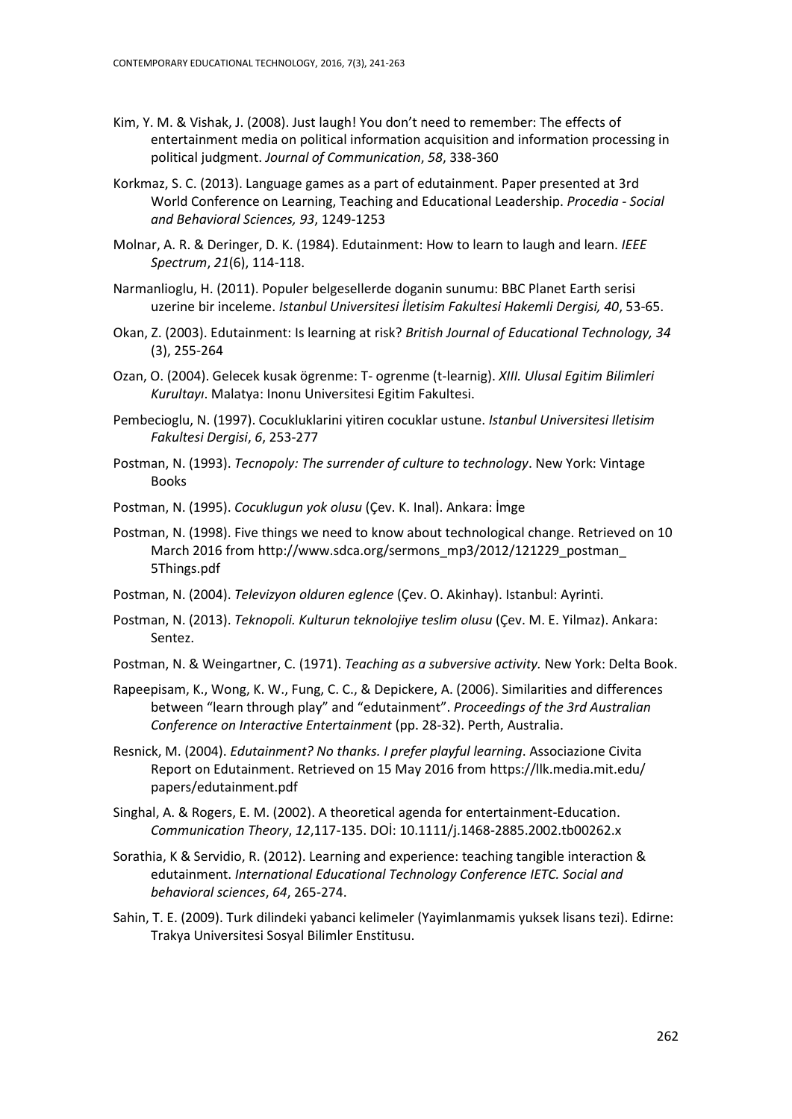- Kim, Y. M. & Vishak, J. (2008). Just laugh! You don't need to remember: The effects of entertainment media on political information acquisition and information processing in political judgment. *Journal of Communication*, *58*, 338-360
- Korkmaz, S. C. (2013). Language games as a part of edutainment. Paper presented at 3rd World Conference on Learning, Teaching and Educational Leadership. *Procedia - Social and Behavioral Sciences, 93*, 1249-1253
- Molnar, A. R. & Deringer, D. K. (1984). Edutainment: How to learn to laugh and learn. *IEEE Spectrum*, *21*(6), 114-118.
- Narmanlioglu, H. (2011). Populer belgesellerde doganin sunumu: BBC Planet Earth serisi uzerine bir inceleme. *Istanbul Universitesi İletisim Fakultesi Hakemli Dergisi, 40*, 53-65.
- Okan, Z. (2003). Edutainment: Is learning at risk? *British Journal of Educational Technology, 34* (3), 255-264
- Ozan, O. (2004). Gelecek kusak ögrenme: T- ogrenme (t-learnig). *XIII. Ulusal Egitim Bilimleri Kurultayı*. Malatya: Inonu Universitesi Egitim Fakultesi.
- Pembecioglu, N. (1997). Cocukluklarini yitiren cocuklar ustune. *Istanbul Universitesi Iletisim Fakultesi Dergisi*, *6*, 253-277
- Postman, N. (1993). *Tecnopoly: The surrender of culture to technology*. New York: Vintage Books
- Postman, N. (1995). *Cocuklugun yok olusu* (Çev. K. Inal). Ankara: İmge
- Postman, N. (1998). Five things we need to know about technological change. Retrieved on 10 March 2016 from [http://www.sdca.org/sermons\\_mp3/2012/121229\\_postman\\_](http://www.sdca.org/sermons_mp3/2012/121229_postman_) 5Things.pdf
- Postman, N. (2004). *Televizyon olduren eglence* (Çev. O. Akinhay). Istanbul: Ayrinti.
- Postman, N. (2013). *Teknopoli. Kulturun teknolojiye teslim olusu* (Çev. M. E. Yilmaz). Ankara: Sentez.
- Postman, N. & Weingartner, C. (1971). *Teaching as a subversive activity.* New York: Delta Book.
- Rapeepisam, K., Wong, K. W., Fung, C. C., & Depickere, A. (2006). Similarities and differences between "learn through play" and "edutainment". *Proceedings of the 3rd Australian Conference on Interactive Entertainment* (pp. 28-32). Perth, Australia.
- Resnick, M. (2004). *Edutainment? No thanks. I prefer playful learning*. Associazione Civita Report on Edutainment. Retrieved on 15 May 2016 from<https://llk.media.mit.edu/> papers/edutainment.pdf
- Singhal, A. & Rogers, E. M. (2002). A theoretical agenda for entertainment-Education. *Communication Theory*, *12*,117-135. DOİ: 10.1111/j.1468-2885.2002.tb00262.x
- Sorathia, K & Servidio, R. (2012). Learning and experience: teaching tangible interaction & edutainment. *International Educational Technology Conference IETC. Social and behavioral sciences*, *64*, 265-274.
- Sahin, T. E. (2009). Turk dilindeki yabanci kelimeler (Yayimlanmamis yuksek lisans tezi). Edirne: Trakya Universitesi Sosyal Bilimler Enstitusu.